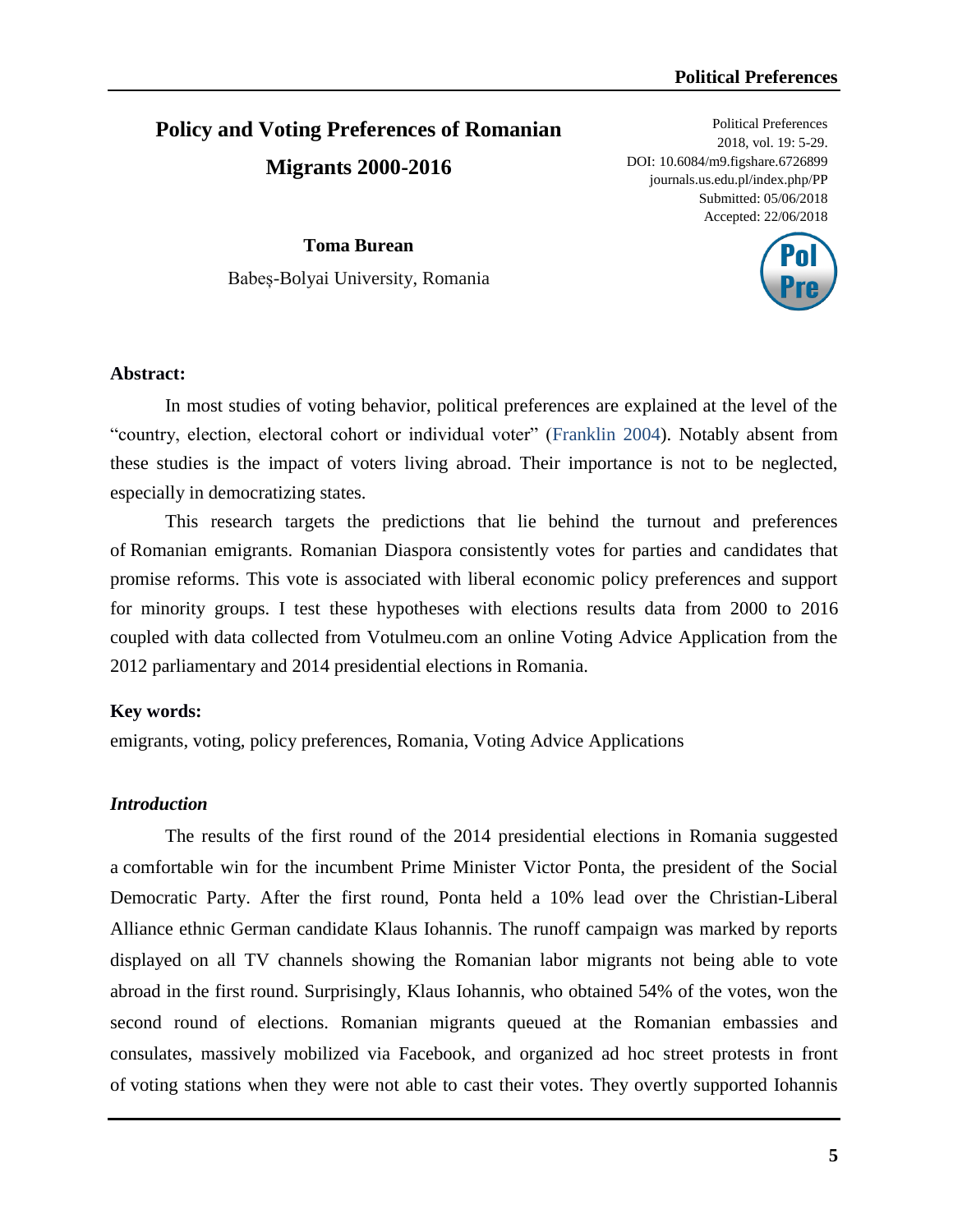# **Policy and Voting Preferences of Romanian Migrants 2000-2016**

Political Preferences 2018, vol. 19: 5-29. DOI: 10.6084/m9.figshare.6726899 journals.us.edu.pl/index.php/PP Submitted: 05/06/2018 Accepted: 22/06/2018

**Toma Burean** Babeș-Bolyai University, Romania



## **Abstract:**

In most studies of voting behavior, political preferences are explained at the level of the "country, election, electoral cohort or individual voter" (Franklin 2004). Notably absent from these studies is the impact of voters living abroad. Their importance is not to be neglected, especially in democratizing states.

This research targets the predictions that lie behind the turnout and preferences of Romanian emigrants. Romanian Diaspora consistently votes for parties and candidates that promise reforms. This vote is associated with liberal economic policy preferences and support for minority groups. I test these hypotheses with elections results data from 2000 to 2016 coupled with data collected from Votulmeu.com an online Voting Advice Application from the 2012 parliamentary and 2014 presidential elections in Romania.

#### **Key words:**

emigrants, voting, policy preferences, Romania, Voting Advice Applications

#### *Introduction*

The results of the first round of the 2014 presidential elections in Romania suggested a comfortable win for the incumbent Prime Minister Victor Ponta, the president of the Social Democratic Party. After the first round, Ponta held a 10% lead over the Christian-Liberal Alliance ethnic German candidate Klaus Iohannis. The runoff campaign was marked by reports displayed on all TV channels showing the Romanian labor migrants not being able to vote abroad in the first round. Surprisingly, Klaus Iohannis, who obtained 54% of the votes, won the second round of elections. Romanian migrants queued at the Romanian embassies and consulates, massively mobilized via Facebook, and organized ad hoc street protests in front of voting stations when they were not able to cast their votes. They overtly supported Iohannis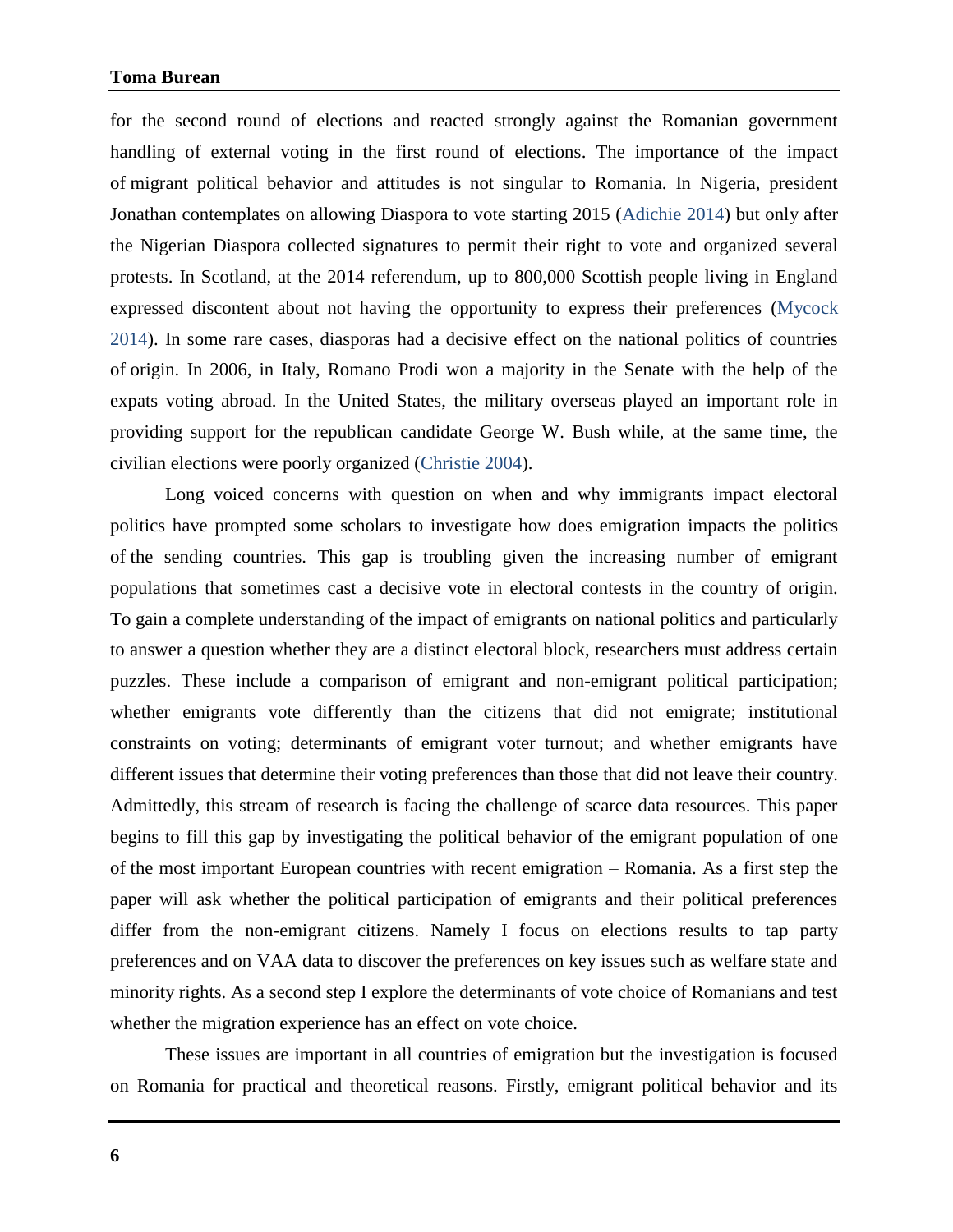## **Toma Burean**

for the second round of elections and reacted strongly against the Romanian government handling of external voting in the first round of elections. The importance of the impact of migrant political behavior and attitudes is not singular to Romania. In Nigeria, president Jonathan contemplates on allowing Diaspora to vote starting 2015 (Adichie 2014) but only after the Nigerian Diaspora collected signatures to permit their right to vote and organized several protests. In Scotland, at the 2014 referendum, up to 800,000 Scottish people living in England expressed discontent about not having the opportunity to express their preferences (Mycock 2014). In some rare cases, diasporas had a decisive effect on the national politics of countries of origin. In 2006, in Italy, Romano Prodi won a majority in the Senate with the help of the expats voting abroad. In the United States, the military overseas played an important role in providing support for the republican candidate George W. Bush while, at the same time, the civilian elections were poorly organized (Christie 2004).

Long voiced concerns with question on when and why immigrants impact electoral politics have prompted some scholars to investigate how does emigration impacts the politics of the sending countries. This gap is troubling given the increasing number of emigrant populations that sometimes cast a decisive vote in electoral contests in the country of origin. To gain a complete understanding of the impact of emigrants on national politics and particularly to answer a question whether they are a distinct electoral block, researchers must address certain puzzles. These include a comparison of emigrant and non-emigrant political participation; whether emigrants vote differently than the citizens that did not emigrate; institutional constraints on voting; determinants of emigrant voter turnout; and whether emigrants have different issues that determine their voting preferences than those that did not leave their country. Admittedly, this stream of research is facing the challenge of scarce data resources. This paper begins to fill this gap by investigating the political behavior of the emigrant population of one of the most important European countries with recent emigration – Romania. As a first step the paper will ask whether the political participation of emigrants and their political preferences differ from the non-emigrant citizens. Namely I focus on elections results to tap party preferences and on VAA data to discover the preferences on key issues such as welfare state and minority rights. As a second step I explore the determinants of vote choice of Romanians and test whether the migration experience has an effect on vote choice.

These issues are important in all countries of emigration but the investigation is focused on Romania for practical and theoretical reasons. Firstly, emigrant political behavior and its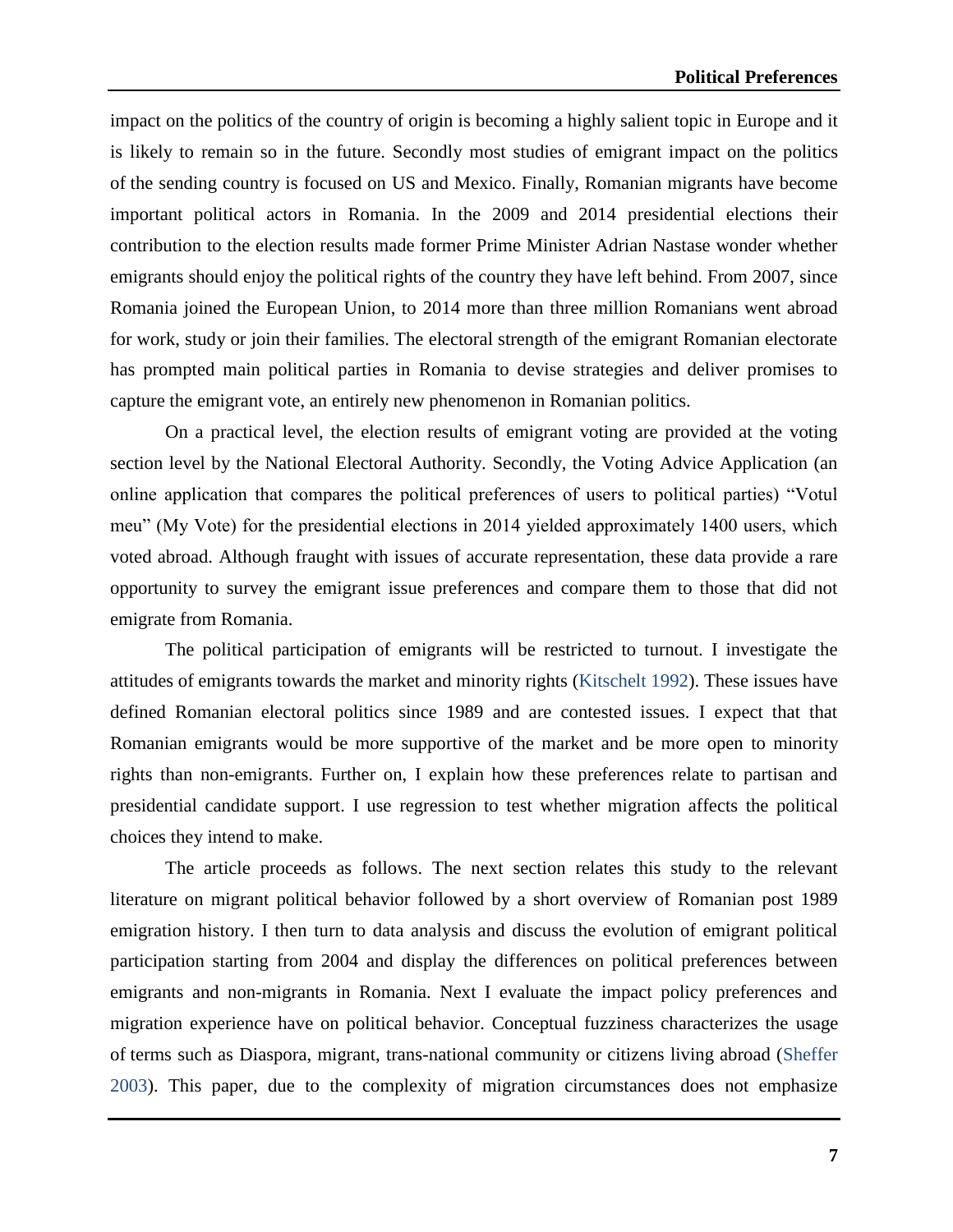impact on the politics of the country of origin is becoming a highly salient topic in Europe and it is likely to remain so in the future. Secondly most studies of emigrant impact on the politics of the sending country is focused on US and Mexico. Finally, Romanian migrants have become important political actors in Romania. In the 2009 and 2014 presidential elections their contribution to the election results made former Prime Minister Adrian Nastase wonder whether emigrants should enjoy the political rights of the country they have left behind. From 2007, since Romania joined the European Union, to 2014 more than three million Romanians went abroad for work, study or join their families. The electoral strength of the emigrant Romanian electorate has prompted main political parties in Romania to devise strategies and deliver promises to capture the emigrant vote, an entirely new phenomenon in Romanian politics.

On a practical level, the election results of emigrant voting are provided at the voting section level by the National Electoral Authority. Secondly, the Voting Advice Application (an online application that compares the political preferences of users to political parties) "Votul meu" (My Vote) for the presidential elections in 2014 yielded approximately 1400 users, which voted abroad. Although fraught with issues of accurate representation, these data provide a rare opportunity to survey the emigrant issue preferences and compare them to those that did not emigrate from Romania.

The political participation of emigrants will be restricted to turnout. I investigate the attitudes of emigrants towards the market and minority rights (Kitschelt 1992). These issues have defined Romanian electoral politics since 1989 and are contested issues. I expect that that Romanian emigrants would be more supportive of the market and be more open to minority rights than non-emigrants. Further on, I explain how these preferences relate to partisan and presidential candidate support. I use regression to test whether migration affects the political choices they intend to make.

The article proceeds as follows. The next section relates this study to the relevant literature on migrant political behavior followed by a short overview of Romanian post 1989 emigration history. I then turn to data analysis and discuss the evolution of emigrant political participation starting from 2004 and display the differences on political preferences between emigrants and non-migrants in Romania. Next I evaluate the impact policy preferences and migration experience have on political behavior. Conceptual fuzziness characterizes the usage of terms such as Diaspora, migrant, trans-national community or citizens living abroad (Sheffer 2003). This paper, due to the complexity of migration circumstances does not emphasize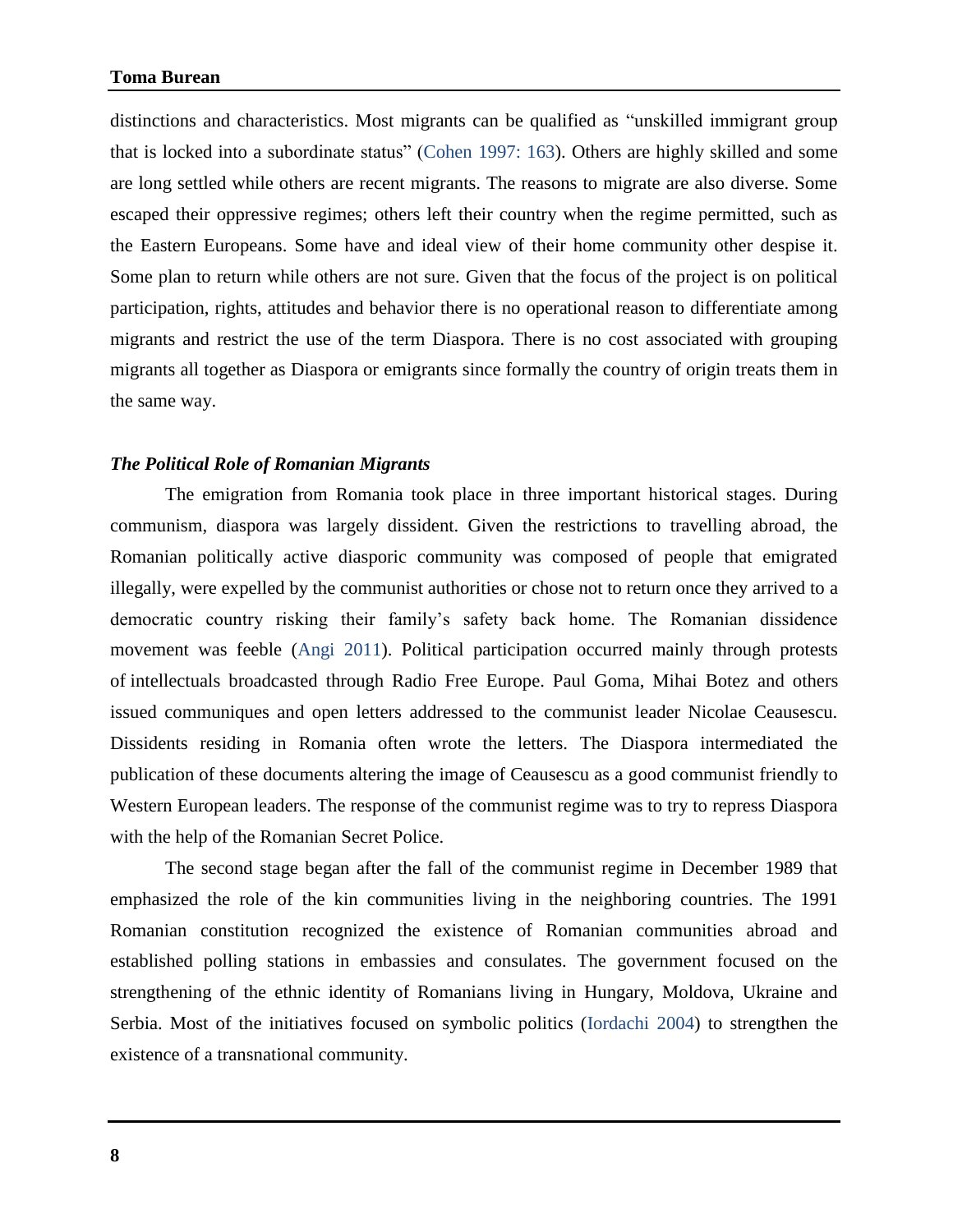distinctions and characteristics. Most migrants can be qualified as "unskilled immigrant group that is locked into a subordinate status" (Cohen 1997: 163). Others are highly skilled and some are long settled while others are recent migrants. The reasons to migrate are also diverse. Some escaped their oppressive regimes; others left their country when the regime permitted, such as the Eastern Europeans. Some have and ideal view of their home community other despise it. Some plan to return while others are not sure. Given that the focus of the project is on political participation, rights, attitudes and behavior there is no operational reason to differentiate among migrants and restrict the use of the term Diaspora. There is no cost associated with grouping migrants all together as Diaspora or emigrants since formally the country of origin treats them in the same way.

#### *The Political Role of Romanian Migrants*

The emigration from Romania took place in three important historical stages. During communism, diaspora was largely dissident. Given the restrictions to travelling abroad, the Romanian politically active diasporic community was composed of people that emigrated illegally, were expelled by the communist authorities or chose not to return once they arrived to a democratic country risking their family's safety back home. The Romanian dissidence movement was feeble (Angi 2011). Political participation occurred mainly through protests of intellectuals broadcasted through Radio Free Europe. Paul Goma, Mihai Botez and others issued communiques and open letters addressed to the communist leader Nicolae Ceausescu. Dissidents residing in Romania often wrote the letters. The Diaspora intermediated the publication of these documents altering the image of Ceausescu as a good communist friendly to Western European leaders. The response of the communist regime was to try to repress Diaspora with the help of the Romanian Secret Police.

The second stage began after the fall of the communist regime in December 1989 that emphasized the role of the kin communities living in the neighboring countries. The 1991 Romanian constitution recognized the existence of Romanian communities abroad and established polling stations in embassies and consulates. The government focused on the strengthening of the ethnic identity of Romanians living in Hungary, Moldova, Ukraine and Serbia. Most of the initiatives focused on symbolic politics (Iordachi 2004) to strengthen the existence of a transnational community.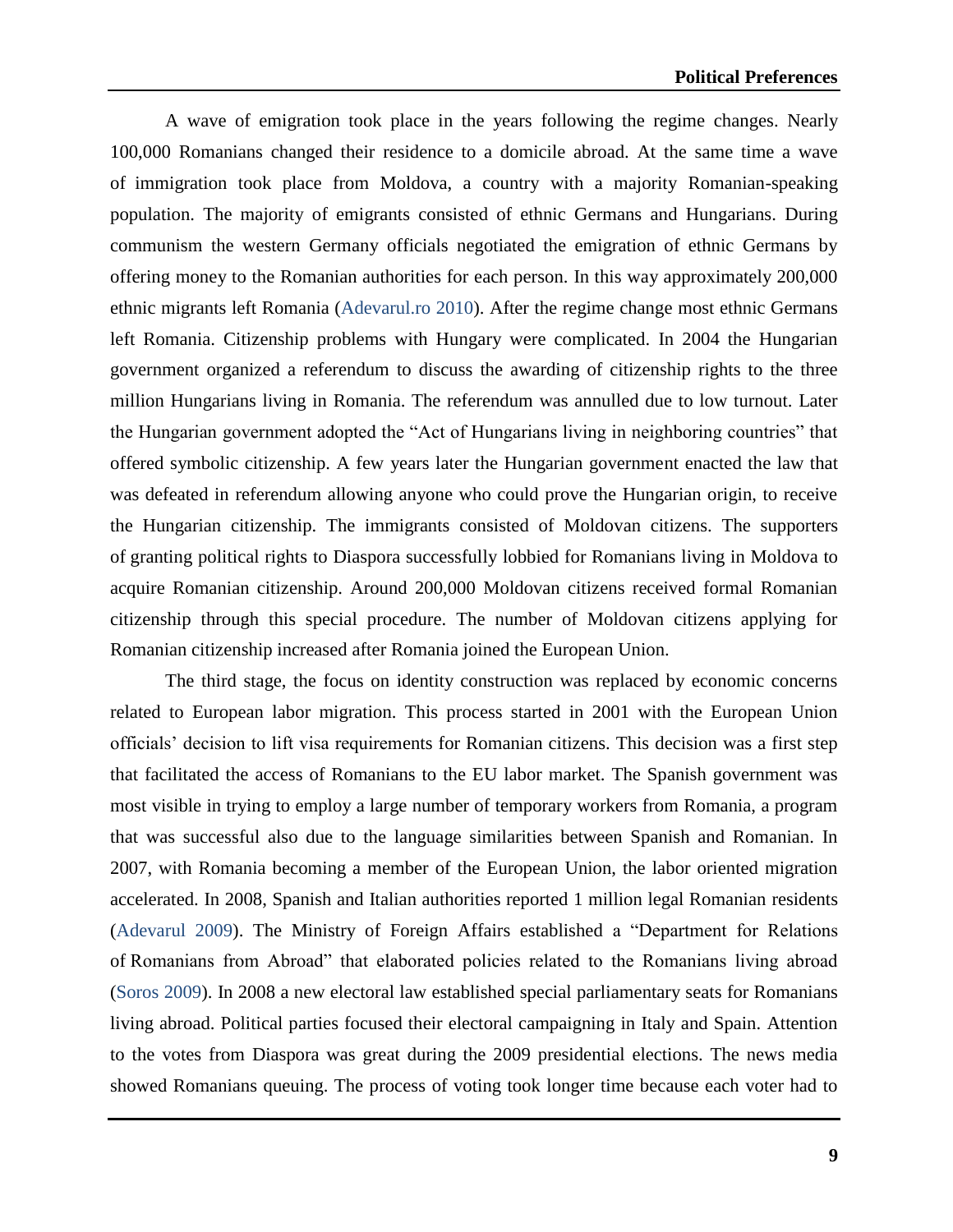A wave of emigration took place in the years following the regime changes. Nearly 100,000 Romanians changed their residence to a domicile abroad. At the same time a wave of immigration took place from Moldova, a country with a majority Romanian-speaking population. The majority of emigrants consisted of ethnic Germans and Hungarians. During communism the western Germany officials negotiated the emigration of ethnic Germans by offering money to the Romanian authorities for each person. In this way approximately 200,000 ethnic migrants left Romania (Adevarul.ro 2010). After the regime change most ethnic Germans left Romania. Citizenship problems with Hungary were complicated. In 2004 the Hungarian government organized a referendum to discuss the awarding of citizenship rights to the three million Hungarians living in Romania. The referendum was annulled due to low turnout. Later the Hungarian government adopted the "Act of Hungarians living in neighboring countries" that offered symbolic citizenship. A few years later the Hungarian government enacted the law that was defeated in referendum allowing anyone who could prove the Hungarian origin, to receive the Hungarian citizenship. The immigrants consisted of Moldovan citizens. The supporters of granting political rights to Diaspora successfully lobbied for Romanians living in Moldova to acquire Romanian citizenship. Around 200,000 Moldovan citizens received formal Romanian citizenship through this special procedure. The number of Moldovan citizens applying for Romanian citizenship increased after Romania joined the European Union.

The third stage, the focus on identity construction was replaced by economic concerns related to European labor migration. This process started in 2001 with the European Union officials' decision to lift visa requirements for Romanian citizens. This decision was a first step that facilitated the access of Romanians to the EU labor market. The Spanish government was most visible in trying to employ a large number of temporary workers from Romania, a program that was successful also due to the language similarities between Spanish and Romanian. In 2007, with Romania becoming a member of the European Union, the labor oriented migration accelerated. In 2008, Spanish and Italian authorities reported 1 million legal Romanian residents (Adevarul 2009). The Ministry of Foreign Affairs established a "Department for Relations of Romanians from Abroad" that elaborated policies related to the Romanians living abroad (Soros 2009). In 2008 a new electoral law established special parliamentary seats for Romanians living abroad. Political parties focused their electoral campaigning in Italy and Spain. Attention to the votes from Diaspora was great during the 2009 presidential elections. The news media showed Romanians queuing. The process of voting took longer time because each voter had to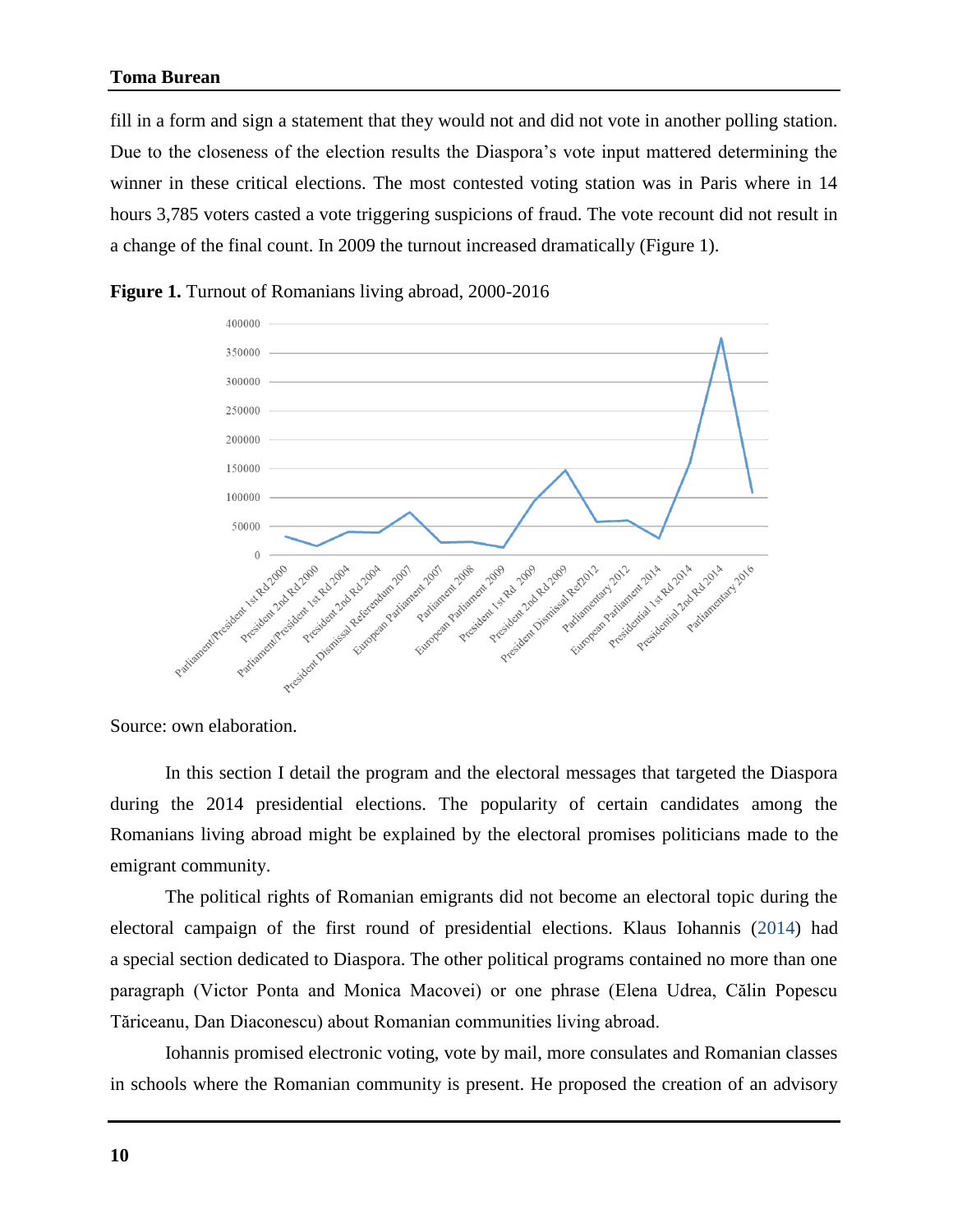#### **Toma Burean**

fill in a form and sign a statement that they would not and did not vote in another polling station. Due to the closeness of the election results the Diaspora's vote input mattered determining the winner in these critical elections. The most contested voting station was in Paris where in 14 hours 3,785 voters casted a vote triggering suspicions of fraud. The vote recount did not result in a change of the final count. In 2009 the turnout increased dramatically (Figure 1).





Source: own elaboration.

In this section I detail the program and the electoral messages that targeted the Diaspora during the 2014 presidential elections. The popularity of certain candidates among the Romanians living abroad might be explained by the electoral promises politicians made to the emigrant community.

The political rights of Romanian emigrants did not become an electoral topic during the electoral campaign of the first round of presidential elections. Klaus Iohannis (2014) had a special section dedicated to Diaspora. The other political programs contained no more than one paragraph (Victor Ponta and Monica Macovei) or one phrase (Elena Udrea, Călin Popescu Tăriceanu, Dan Diaconescu) about Romanian communities living abroad.

Iohannis promised electronic voting, vote by mail, more consulates and Romanian classes in schools where the Romanian community is present. He proposed the creation of an advisory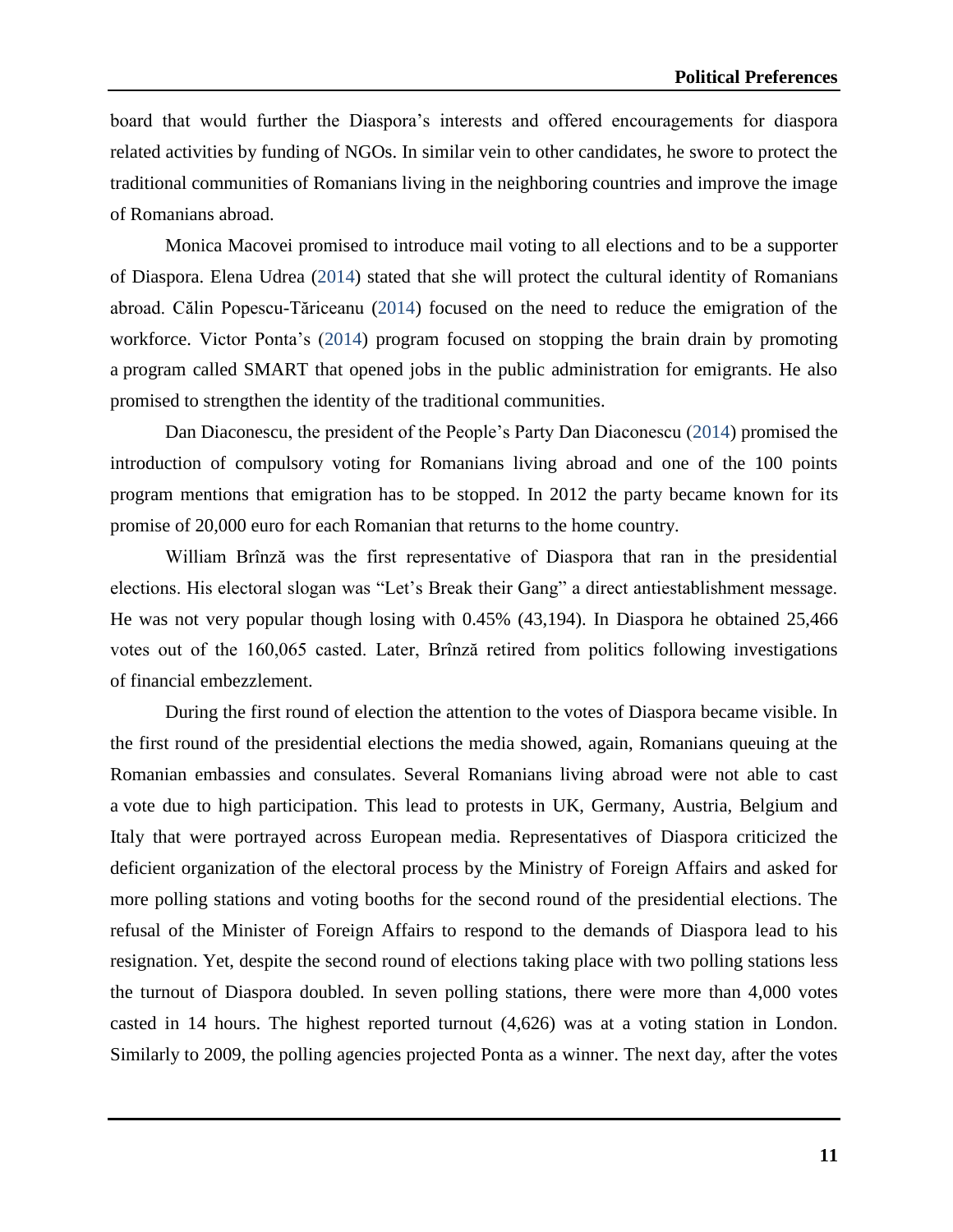board that would further the Diaspora's interests and offered encouragements for diaspora related activities by funding of NGOs. In similar vein to other candidates, he swore to protect the traditional communities of Romanians living in the neighboring countries and improve the image of Romanians abroad.

Monica Macovei promised to introduce mail voting to all elections and to be a supporter of Diaspora. Elena Udrea (2014) stated that she will protect the cultural identity of Romanians abroad. Călin Popescu-Tăriceanu (2014) focused on the need to reduce the emigration of the workforce. Victor Ponta's (2014) program focused on stopping the brain drain by promoting a program called SMART that opened jobs in the public administration for emigrants. He also promised to strengthen the identity of the traditional communities.

Dan Diaconescu, the president of the People's Party Dan Diaconescu (2014) promised the introduction of compulsory voting for Romanians living abroad and one of the 100 points program mentions that emigration has to be stopped. In 2012 the party became known for its promise of 20,000 euro for each Romanian that returns to the home country.

William Brînză was the first representative of Diaspora that ran in the presidential elections. His electoral slogan was "Let's Break their Gang" a direct antiestablishment message. He was not very popular though losing with 0.45% (43,194). In Diaspora he obtained 25,466 votes out of the 160,065 casted. Later, Brînză retired from politics following investigations of financial embezzlement.

During the first round of election the attention to the votes of Diaspora became visible. In the first round of the presidential elections the media showed, again, Romanians queuing at the Romanian embassies and consulates. Several Romanians living abroad were not able to cast a vote due to high participation. This lead to protests in UK, Germany, Austria, Belgium and Italy that were portrayed across European media. Representatives of Diaspora criticized the deficient organization of the electoral process by the Ministry of Foreign Affairs and asked for more polling stations and voting booths for the second round of the presidential elections. The refusal of the Minister of Foreign Affairs to respond to the demands of Diaspora lead to his resignation. Yet, despite the second round of elections taking place with two polling stations less the turnout of Diaspora doubled. In seven polling stations, there were more than 4,000 votes casted in 14 hours. The highest reported turnout (4,626) was at a voting station in London. Similarly to 2009, the polling agencies projected Ponta as a winner. The next day, after the votes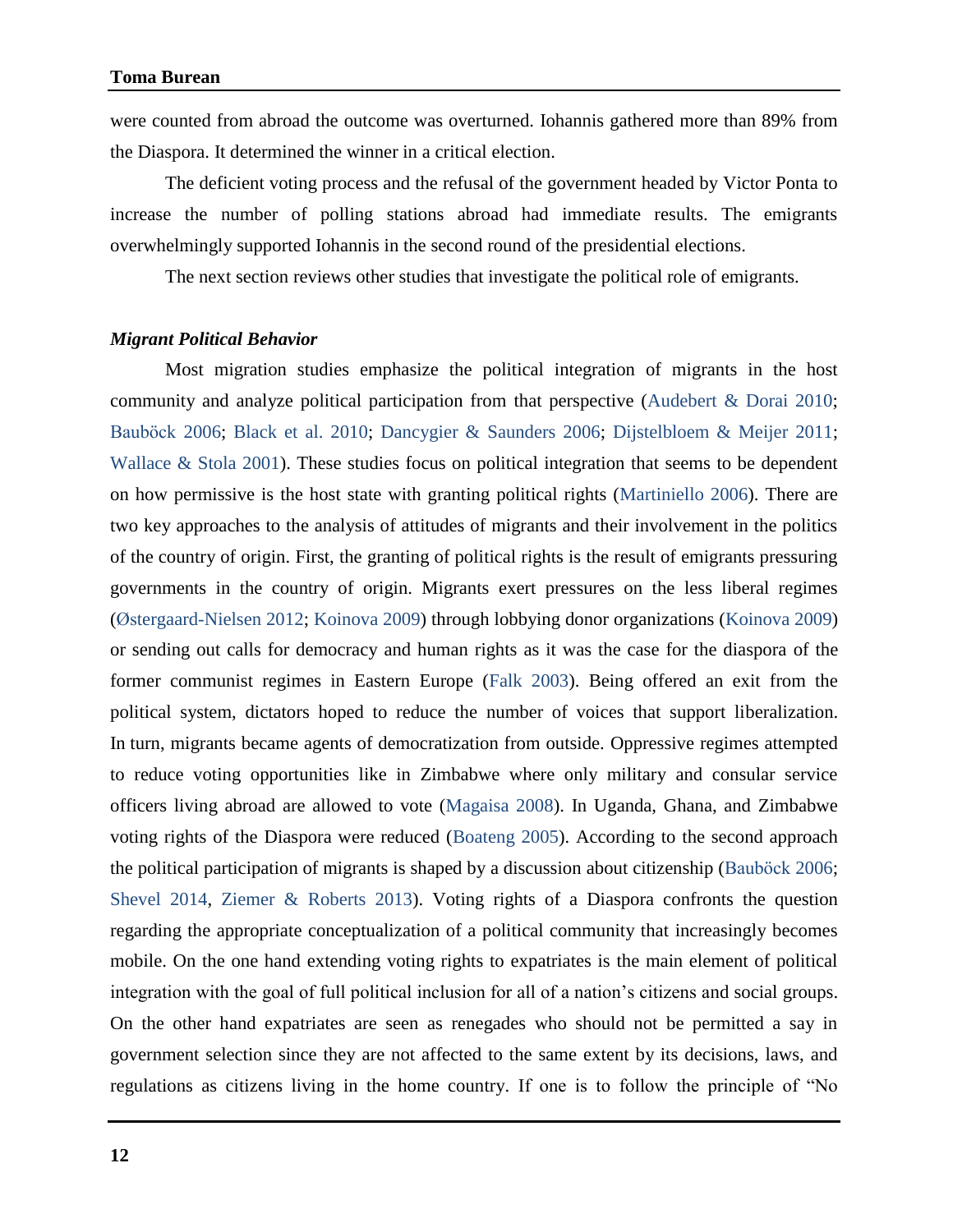were counted from abroad the outcome was overturned. Iohannis gathered more than 89% from the Diaspora. It determined the winner in a critical election.

The deficient voting process and the refusal of the government headed by Victor Ponta to increase the number of polling stations abroad had immediate results. The emigrants overwhelmingly supported Iohannis in the second round of the presidential elections.

The next section reviews other studies that investigate the political role of emigrants.

#### *Migrant Political Behavior*

Most migration studies emphasize the political integration of migrants in the host community and analyze political participation from that perspective (Audebert & Dorai 2010; Bauböck 2006; Black et al. 2010; Dancygier & Saunders 2006; Dijstelbloem & Meijer 2011; Wallace & Stola 2001). These studies focus on political integration that seems to be dependent on how permissive is the host state with granting political rights (Martiniello 2006). There are two key approaches to the analysis of attitudes of migrants and their involvement in the politics of the country of origin. First, the granting of political rights is the result of emigrants pressuring governments in the country of origin. Migrants exert pressures on the less liberal regimes (Østergaard-Nielsen 2012; Koinova 2009) through lobbying donor organizations (Koinova 2009) or sending out calls for democracy and human rights as it was the case for the diaspora of the former communist regimes in Eastern Europe (Falk 2003). Being offered an exit from the political system, dictators hoped to reduce the number of voices that support liberalization. In turn, migrants became agents of democratization from outside. Oppressive regimes attempted to reduce voting opportunities like in Zimbabwe where only military and consular service officers living abroad are allowed to vote (Magaisa 2008). In Uganda, Ghana, and Zimbabwe voting rights of the Diaspora were reduced (Boateng 2005). According to the second approach the political participation of migrants is shaped by a discussion about citizenship (Bauböck 2006; Shevel 2014, Ziemer & Roberts 2013). Voting rights of a Diaspora confronts the question regarding the appropriate conceptualization of a political community that increasingly becomes mobile. On the one hand extending voting rights to expatriates is the main element of political integration with the goal of full political inclusion for all of a nation's citizens and social groups. On the other hand expatriates are seen as renegades who should not be permitted a say in government selection since they are not affected to the same extent by its decisions, laws, and regulations as citizens living in the home country. If one is to follow the principle of "No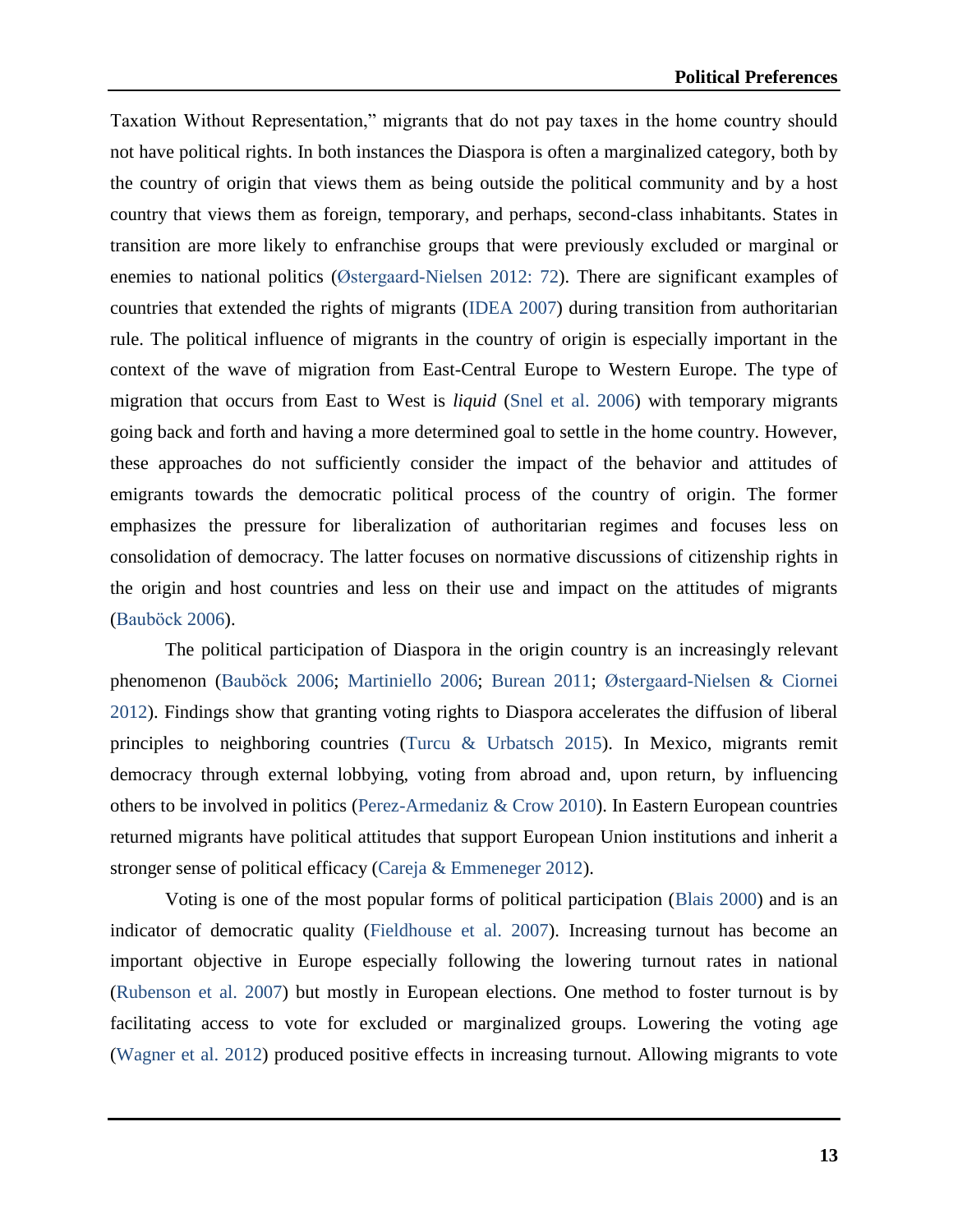Taxation Without Representation," migrants that do not pay taxes in the home country should not have political rights. In both instances the Diaspora is often a marginalized category, both by the country of origin that views them as being outside the political community and by a host country that views them as foreign, temporary, and perhaps, second-class inhabitants. States in transition are more likely to enfranchise groups that were previously excluded or marginal or enemies to national politics (Østergaard-Nielsen 2012: 72). There are significant examples of countries that extended the rights of migrants (IDEA 2007) during transition from authoritarian rule. The political influence of migrants in the country of origin is especially important in the context of the wave of migration from East-Central Europe to Western Europe. The type of migration that occurs from East to West is *liquid* (Snel et al. 2006) with temporary migrants going back and forth and having a more determined goal to settle in the home country. However, these approaches do not sufficiently consider the impact of the behavior and attitudes of emigrants towards the democratic political process of the country of origin. The former emphasizes the pressure for liberalization of authoritarian regimes and focuses less on consolidation of democracy. The latter focuses on normative discussions of citizenship rights in the origin and host countries and less on their use and impact on the attitudes of migrants (Bauböck 2006).

The political participation of Diaspora in the origin country is an increasingly relevant phenomenon (Bauböck 2006; Martiniello 2006; Burean 2011; Østergaard-Nielsen & Ciornei 2012). Findings show that granting voting rights to Diaspora accelerates the diffusion of liberal principles to neighboring countries (Turcu & Urbatsch 2015). In Mexico, migrants remit democracy through external lobbying, voting from abroad and, upon return, by influencing others to be involved in politics (Perez-Armedaniz & Crow 2010). In Eastern European countries returned migrants have political attitudes that support European Union institutions and inherit a stronger sense of political efficacy (Careja & Emmeneger 2012).

Voting is one of the most popular forms of political participation (Blais 2000) and is an indicator of democratic quality (Fieldhouse et al. 2007). Increasing turnout has become an important objective in Europe especially following the lowering turnout rates in national (Rubenson et al. 2007) but mostly in European elections. One method to foster turnout is by facilitating access to vote for excluded or marginalized groups. Lowering the voting age (Wagner et al. 2012) produced positive effects in increasing turnout. Allowing migrants to vote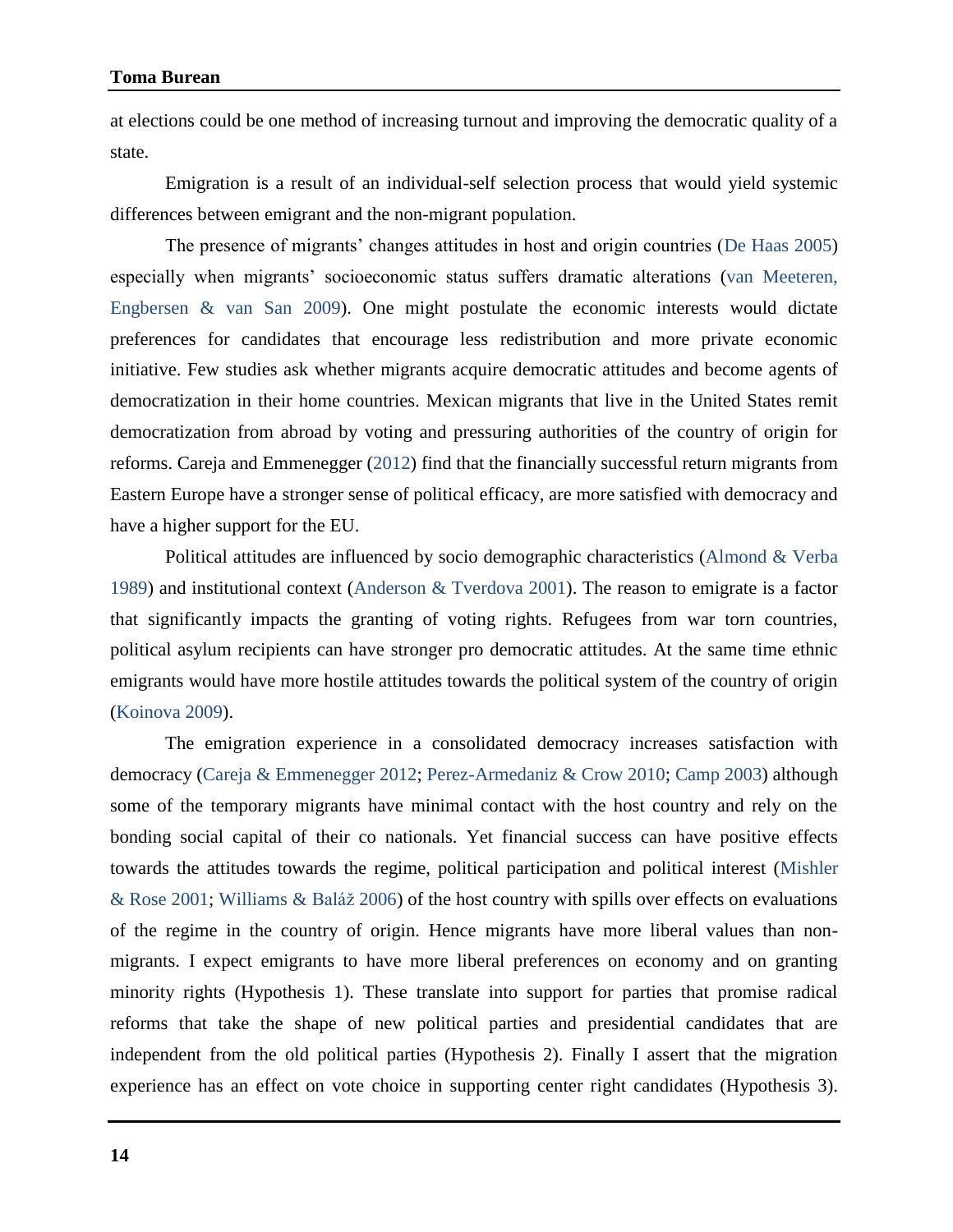at elections could be one method of increasing turnout and improving the democratic quality of a state.

Emigration is a result of an individual-self selection process that would yield systemic differences between emigrant and the non-migrant population.

The presence of migrants' changes attitudes in host and origin countries (De Haas 2005) especially when migrants' socioeconomic status suffers dramatic alterations (van Meeteren, Engbersen & van San 2009). One might postulate the economic interests would dictate preferences for candidates that encourage less redistribution and more private economic initiative. Few studies ask whether migrants acquire democratic attitudes and become agents of democratization in their home countries. Mexican migrants that live in the United States remit democratization from abroad by voting and pressuring authorities of the country of origin for reforms. Careja and Emmenegger (2012) find that the financially successful return migrants from Eastern Europe have a stronger sense of political efficacy, are more satisfied with democracy and have a higher support for the EU.

Political attitudes are influenced by socio demographic characteristics (Almond & Verba 1989) and institutional context (Anderson & Tverdova 2001). The reason to emigrate is a factor that significantly impacts the granting of voting rights. Refugees from war torn countries, political asylum recipients can have stronger pro democratic attitudes. At the same time ethnic emigrants would have more hostile attitudes towards the political system of the country of origin (Koinova 2009).

The emigration experience in a consolidated democracy increases satisfaction with democracy (Careja & Emmenegger 2012; Perez-Armedaniz & Crow 2010; Camp 2003) although some of the temporary migrants have minimal contact with the host country and rely on the bonding social capital of their co nationals. Yet financial success can have positive effects towards the attitudes towards the regime, political participation and political interest (Mishler & Rose 2001; Williams & Baláž 2006) of the host country with spills over effects on evaluations of the regime in the country of origin. Hence migrants have more liberal values than nonmigrants. I expect emigrants to have more liberal preferences on economy and on granting minority rights (Hypothesis 1). These translate into support for parties that promise radical reforms that take the shape of new political parties and presidential candidates that are independent from the old political parties (Hypothesis 2). Finally I assert that the migration experience has an effect on vote choice in supporting center right candidates (Hypothesis 3).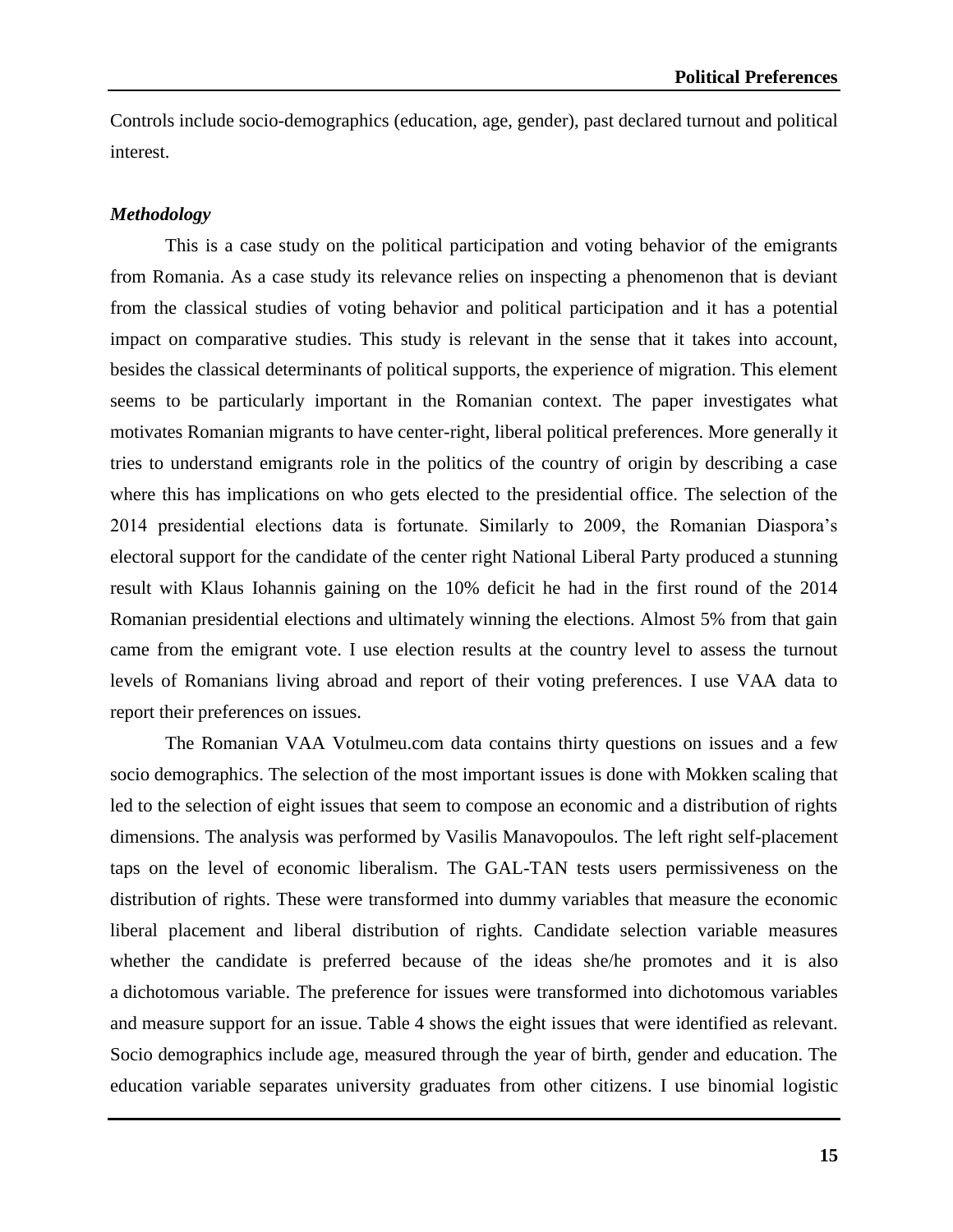Controls include socio-demographics (education, age, gender), past declared turnout and political interest.

#### *Methodology*

This is a case study on the political participation and voting behavior of the emigrants from Romania. As a case study its relevance relies on inspecting a phenomenon that is deviant from the classical studies of voting behavior and political participation and it has a potential impact on comparative studies. This study is relevant in the sense that it takes into account, besides the classical determinants of political supports, the experience of migration. This element seems to be particularly important in the Romanian context. The paper investigates what motivates Romanian migrants to have center-right, liberal political preferences. More generally it tries to understand emigrants role in the politics of the country of origin by describing a case where this has implications on who gets elected to the presidential office. The selection of the 2014 presidential elections data is fortunate. Similarly to 2009, the Romanian Diaspora's electoral support for the candidate of the center right National Liberal Party produced a stunning result with Klaus Iohannis gaining on the 10% deficit he had in the first round of the 2014 Romanian presidential elections and ultimately winning the elections. Almost 5% from that gain came from the emigrant vote. I use election results at the country level to assess the turnout levels of Romanians living abroad and report of their voting preferences. I use VAA data to report their preferences on issues.

The Romanian VAA Votulmeu.com data contains thirty questions on issues and a few socio demographics. The selection of the most important issues is done with Mokken scaling that led to the selection of eight issues that seem to compose an economic and a distribution of rights dimensions. The analysis was performed by Vasilis Manavopoulos. The left right self-placement taps on the level of economic liberalism. The GAL-TAN tests users permissiveness on the distribution of rights. These were transformed into dummy variables that measure the economic liberal placement and liberal distribution of rights. Candidate selection variable measures whether the candidate is preferred because of the ideas she/he promotes and it is also a dichotomous variable. The preference for issues were transformed into dichotomous variables and measure support for an issue. Table 4 shows the eight issues that were identified as relevant. Socio demographics include age, measured through the year of birth, gender and education. The education variable separates university graduates from other citizens. I use binomial logistic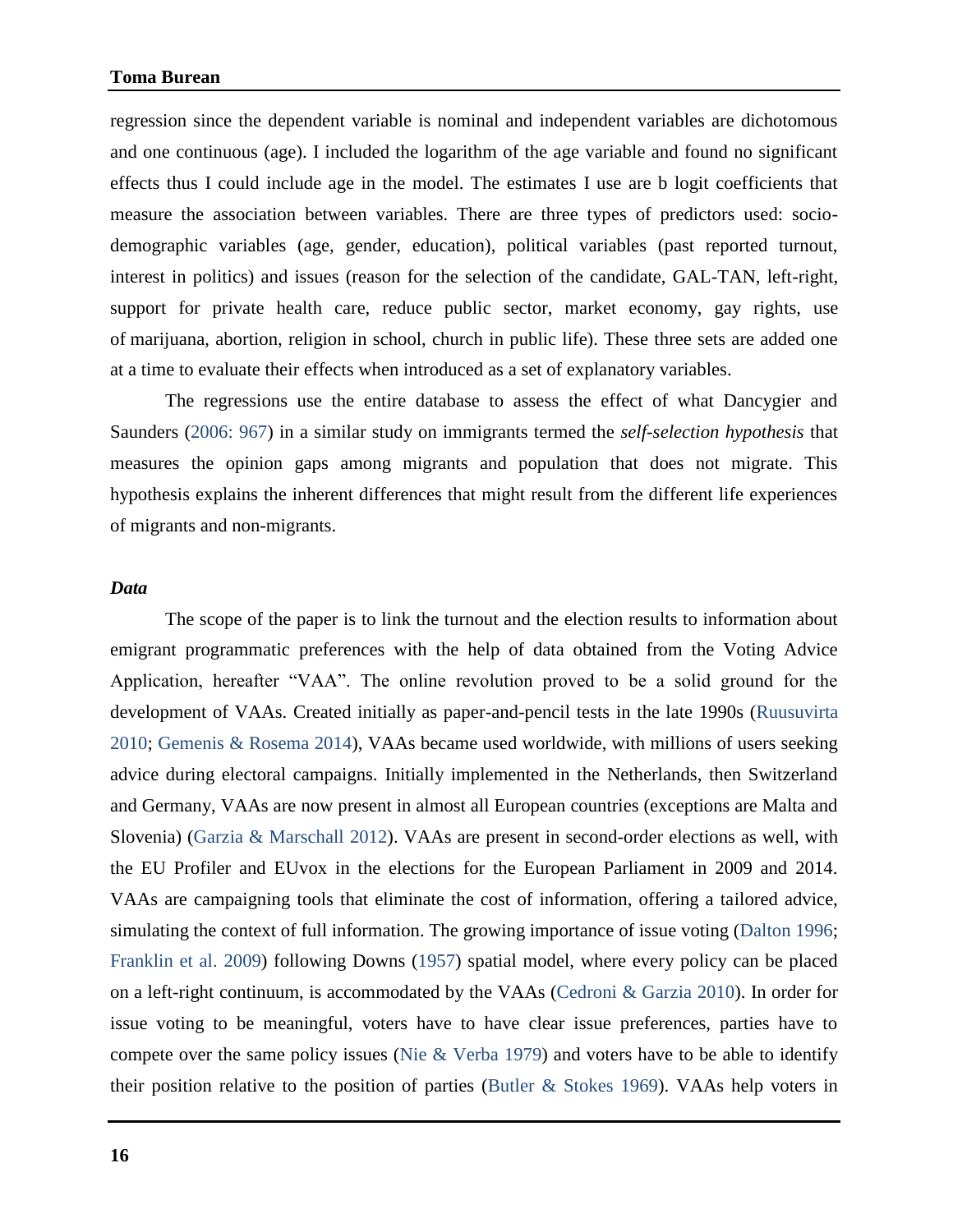regression since the dependent variable is nominal and independent variables are dichotomous and one continuous (age). I included the logarithm of the age variable and found no significant effects thus I could include age in the model. The estimates I use are b logit coefficients that measure the association between variables. There are three types of predictors used: sociodemographic variables (age, gender, education), political variables (past reported turnout, interest in politics) and issues (reason for the selection of the candidate, GAL-TAN, left-right, support for private health care, reduce public sector, market economy, gay rights, use of marijuana, abortion, religion in school, church in public life). These three sets are added one at a time to evaluate their effects when introduced as a set of explanatory variables.

The regressions use the entire database to assess the effect of what Dancygier and Saunders (2006: 967) in a similar study on immigrants termed the *self-selection hypothesis* that measures the opinion gaps among migrants and population that does not migrate. This hypothesis explains the inherent differences that might result from the different life experiences of migrants and non-migrants.

#### *Data*

The scope of the paper is to link the turnout and the election results to information about emigrant programmatic preferences with the help of data obtained from the Voting Advice Application, hereafter "VAA". The online revolution proved to be a solid ground for the development of VAAs. Created initially as paper-and-pencil tests in the late 1990s (Ruusuvirta 2010; Gemenis & Rosema 2014), VAAs became used worldwide, with millions of users seeking advice during electoral campaigns. Initially implemented in the Netherlands, then Switzerland and Germany, VAAs are now present in almost all European countries (exceptions are Malta and Slovenia) (Garzia & Marschall 2012). VAAs are present in second-order elections as well, with the EU Profiler and EUvox in the elections for the European Parliament in 2009 and 2014. VAAs are campaigning tools that eliminate the cost of information, offering a tailored advice, simulating the context of full information. The growing importance of issue voting (Dalton 1996; Franklin et al. 2009) following Downs (1957) spatial model, where every policy can be placed on a left-right continuum, is accommodated by the VAAs (Cedroni & Garzia 2010). In order for issue voting to be meaningful, voters have to have clear issue preferences, parties have to compete over the same policy issues (Nie & Verba 1979) and voters have to be able to identify their position relative to the position of parties (Butler & Stokes 1969). VAAs help voters in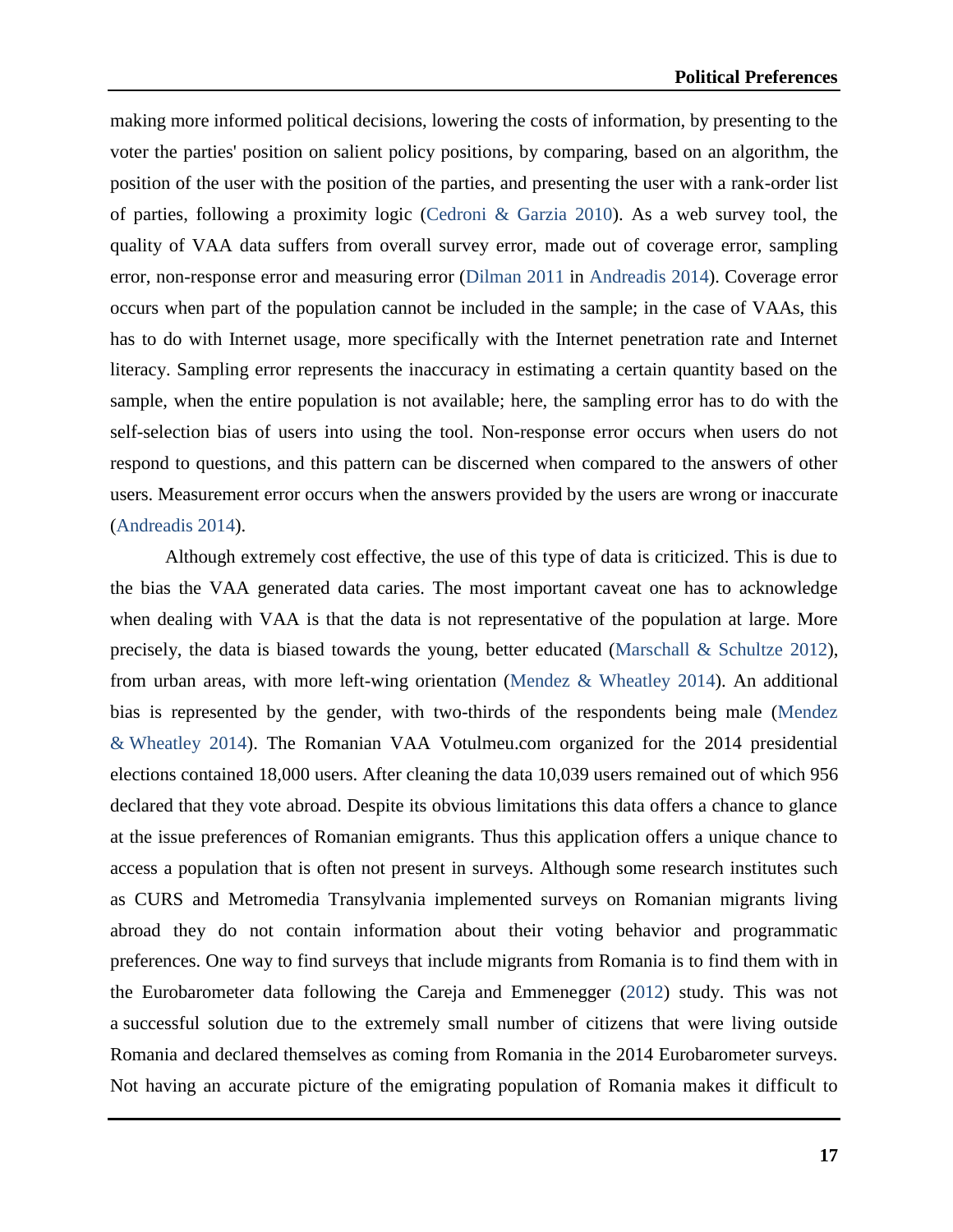making more informed political decisions, lowering the costs of information, by presenting to the voter the parties' position on salient policy positions, by comparing, based on an algorithm, the position of the user with the position of the parties, and presenting the user with a rank-order list of parties, following a proximity logic (Cedroni & Garzia 2010). As a web survey tool, the quality of VAA data suffers from overall survey error, made out of coverage error, sampling error, non-response error and measuring error (Dilman 2011 in Andreadis 2014). Coverage error occurs when part of the population cannot be included in the sample; in the case of VAAs, this has to do with Internet usage, more specifically with the Internet penetration rate and Internet literacy. Sampling error represents the inaccuracy in estimating a certain quantity based on the sample, when the entire population is not available; here, the sampling error has to do with the self-selection bias of users into using the tool. Non-response error occurs when users do not respond to questions, and this pattern can be discerned when compared to the answers of other users. Measurement error occurs when the answers provided by the users are wrong or inaccurate (Andreadis 2014).

Although extremely cost effective, the use of this type of data is criticized. This is due to the bias the VAA generated data caries. The most important caveat one has to acknowledge when dealing with VAA is that the data is not representative of the population at large. More precisely, the data is biased towards the young, better educated (Marschall & Schultze 2012), from urban areas, with more left-wing orientation (Mendez & Wheatley 2014). An additional bias is represented by the gender, with two-thirds of the respondents being male (Mendez & Wheatley 2014). The Romanian VAA Votulmeu.com organized for the 2014 presidential elections contained 18,000 users. After cleaning the data 10,039 users remained out of which 956 declared that they vote abroad. Despite its obvious limitations this data offers a chance to glance at the issue preferences of Romanian emigrants. Thus this application offers a unique chance to access a population that is often not present in surveys. Although some research institutes such as CURS and Metromedia Transylvania implemented surveys on Romanian migrants living abroad they do not contain information about their voting behavior and programmatic preferences. One way to find surveys that include migrants from Romania is to find them with in the Eurobarometer data following the Careja and Emmenegger (2012) study. This was not a successful solution due to the extremely small number of citizens that were living outside Romania and declared themselves as coming from Romania in the 2014 Eurobarometer surveys. Not having an accurate picture of the emigrating population of Romania makes it difficult to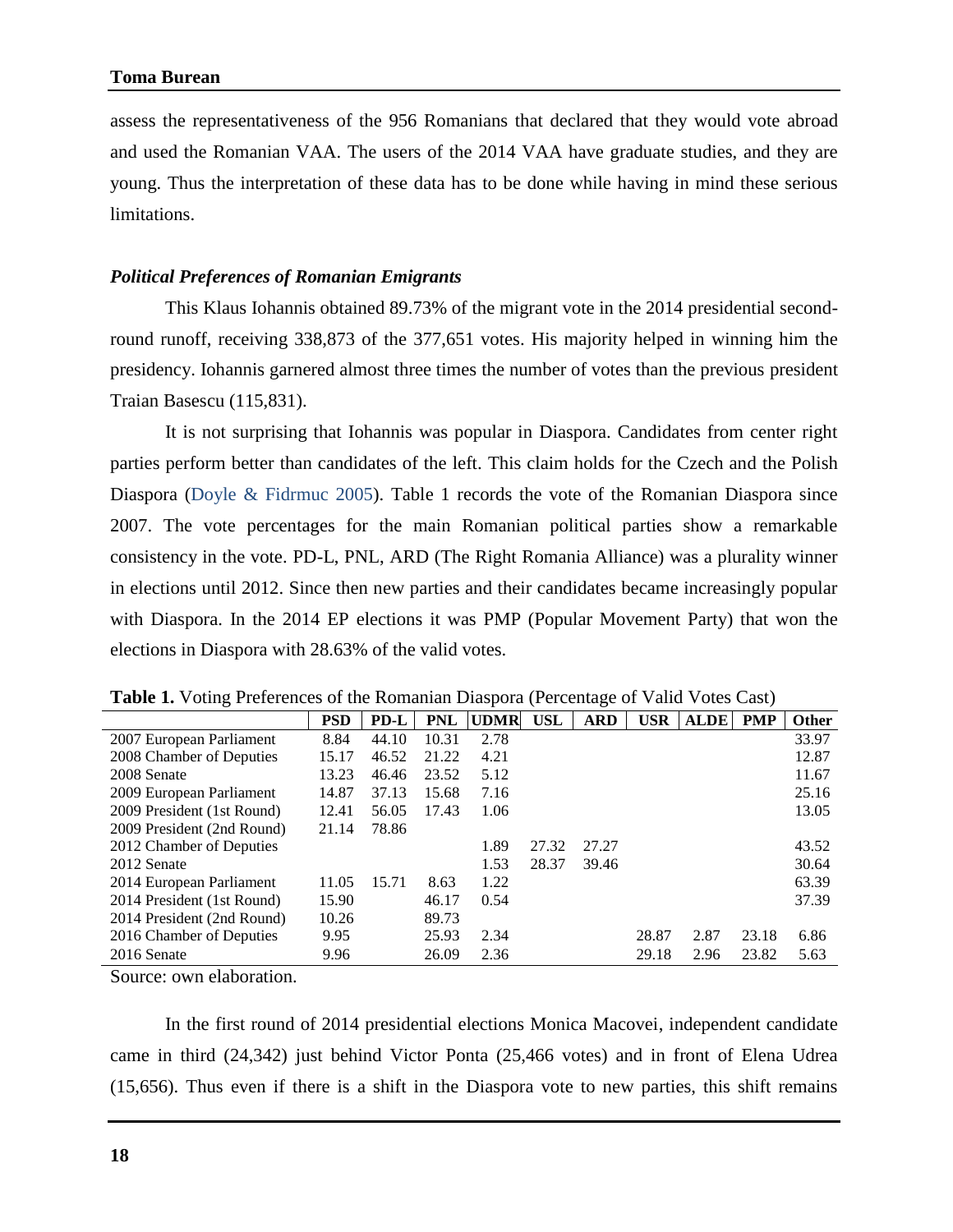assess the representativeness of the 956 Romanians that declared that they would vote abroad and used the Romanian VAA. The users of the 2014 VAA have graduate studies, and they are young. Thus the interpretation of these data has to be done while having in mind these serious limitations.

#### *Political Preferences of Romanian Emigrants*

This Klaus Iohannis obtained 89.73% of the migrant vote in the 2014 presidential secondround runoff, receiving 338,873 of the 377,651 votes. His majority helped in winning him the presidency. Iohannis garnered almost three times the number of votes than the previous president Traian Basescu (115,831).

It is not surprising that Iohannis was popular in Diaspora. Candidates from center right parties perform better than candidates of the left. This claim holds for the Czech and the Polish Diaspora (Doyle & Fidrmuc 2005). Table 1 records the vote of the Romanian Diaspora since 2007. The vote percentages for the main Romanian political parties show a remarkable consistency in the vote. PD-L, PNL, ARD (The Right Romania Alliance) was a plurality winner in elections until 2012. Since then new parties and their candidates became increasingly popular with Diaspora. In the 2014 EP elections it was PMP (Popular Movement Party) that won the elections in Diaspora with 28.63% of the valid votes.

|                            | <b>PSD</b> | PD-L  | <b>PNL</b> | <b>UDMR</b> | <b>USL</b> | <b>ARD</b> | <b>USR</b> | <b>ALDE</b> | <b>PMP</b> | <b>Other</b> |
|----------------------------|------------|-------|------------|-------------|------------|------------|------------|-------------|------------|--------------|
| 2007 European Parliament   | 8.84       | 44.10 | 10.31      | 2.78        |            |            |            |             |            | 33.97        |
| 2008 Chamber of Deputies   | 15.17      | 46.52 | 21.22      | 4.21        |            |            |            |             |            | 12.87        |
| 2008 Senate                | 13.23      | 46.46 | 23.52      | 5.12        |            |            |            |             |            | 11.67        |
| 2009 European Parliament   | 14.87      | 37.13 | 15.68      | 7.16        |            |            |            |             |            | 25.16        |
| 2009 President (1st Round) | 12.41      | 56.05 | 17.43      | 1.06        |            |            |            |             |            | 13.05        |
| 2009 President (2nd Round) | 21.14      | 78.86 |            |             |            |            |            |             |            |              |
| 2012 Chamber of Deputies   |            |       |            | 1.89        | 27.32      | 27.27      |            |             |            | 43.52        |
| 2012 Senate                |            |       |            | 1.53        | 28.37      | 39.46      |            |             |            | 30.64        |
| 2014 European Parliament   | 11.05      | 15.71 | 8.63       | 1.22        |            |            |            |             |            | 63.39        |
| 2014 President (1st Round) | 15.90      |       | 46.17      | 0.54        |            |            |            |             |            | 37.39        |
| 2014 President (2nd Round) | 10.26      |       | 89.73      |             |            |            |            |             |            |              |
| 2016 Chamber of Deputies   | 9.95       |       | 25.93      | 2.34        |            |            | 28.87      | 2.87        | 23.18      | 6.86         |
| 2016 Senate                | 9.96       |       | 26.09      | 2.36        |            |            | 29.18      | 2.96        | 23.82      | 5.63         |

**Table 1.** Voting Preferences of the Romanian Diaspora (Percentage of Valid Votes Cast)

Source: own elaboration.

In the first round of 2014 presidential elections Monica Macovei, independent candidate came in third (24,342) just behind Victor Ponta (25,466 votes) and in front of Elena Udrea (15,656). Thus even if there is a shift in the Diaspora vote to new parties, this shift remains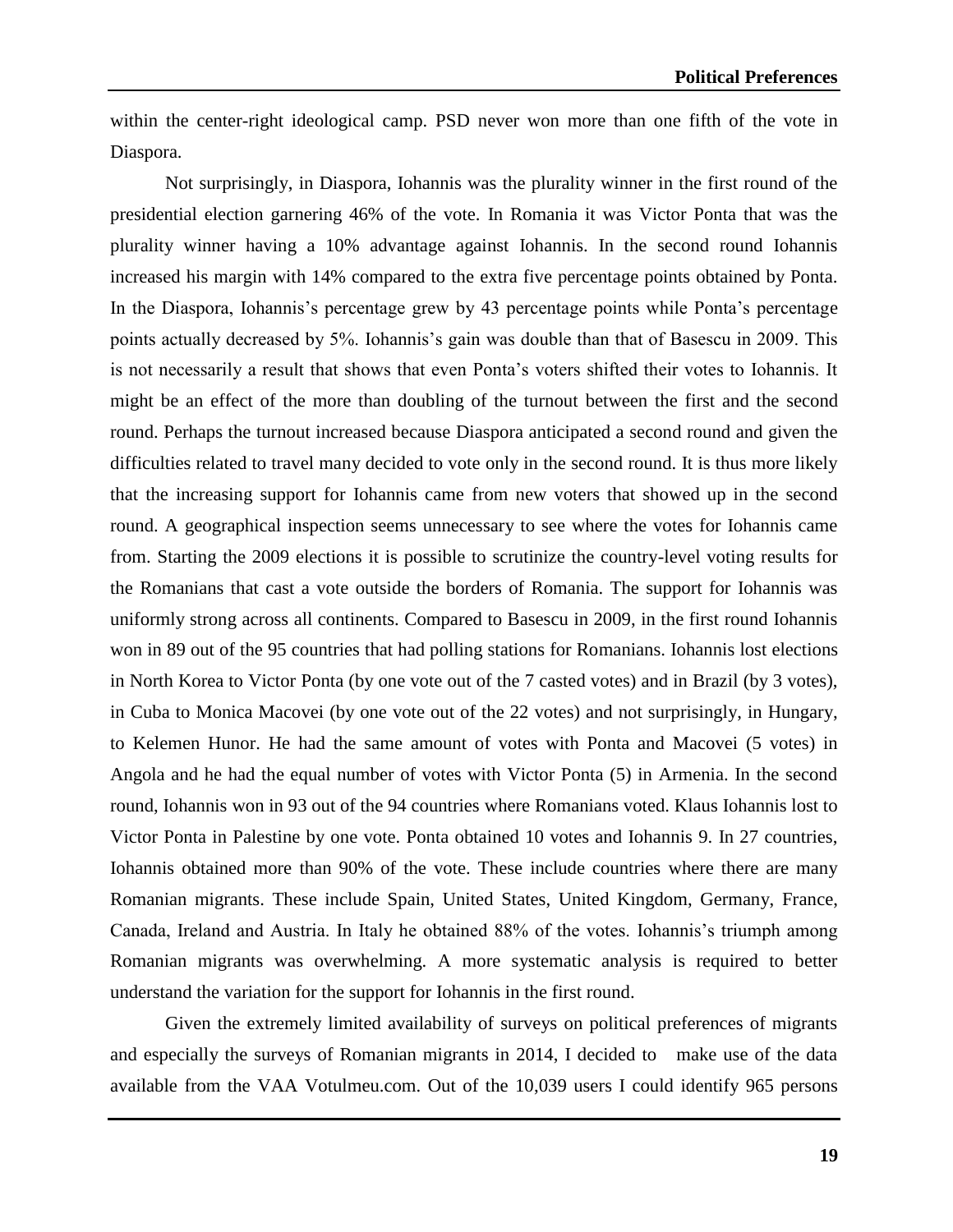within the center-right ideological camp. PSD never won more than one fifth of the vote in Diaspora.

Not surprisingly, in Diaspora, Iohannis was the plurality winner in the first round of the presidential election garnering 46% of the vote. In Romania it was Victor Ponta that was the plurality winner having a 10% advantage against Iohannis. In the second round Iohannis increased his margin with 14% compared to the extra five percentage points obtained by Ponta. In the Diaspora, Iohannis's percentage grew by 43 percentage points while Ponta's percentage points actually decreased by 5%. Iohannis's gain was double than that of Basescu in 2009. This is not necessarily a result that shows that even Ponta's voters shifted their votes to Iohannis. It might be an effect of the more than doubling of the turnout between the first and the second round. Perhaps the turnout increased because Diaspora anticipated a second round and given the difficulties related to travel many decided to vote only in the second round. It is thus more likely that the increasing support for Iohannis came from new voters that showed up in the second round. A geographical inspection seems unnecessary to see where the votes for Iohannis came from. Starting the 2009 elections it is possible to scrutinize the country-level voting results for the Romanians that cast a vote outside the borders of Romania. The support for Iohannis was uniformly strong across all continents. Compared to Basescu in 2009, in the first round Iohannis won in 89 out of the 95 countries that had polling stations for Romanians. Iohannis lost elections in North Korea to Victor Ponta (by one vote out of the 7 casted votes) and in Brazil (by 3 votes), in Cuba to Monica Macovei (by one vote out of the 22 votes) and not surprisingly, in Hungary, to Kelemen Hunor. He had the same amount of votes with Ponta and Macovei (5 votes) in Angola and he had the equal number of votes with Victor Ponta (5) in Armenia. In the second round, Iohannis won in 93 out of the 94 countries where Romanians voted. Klaus Iohannis lost to Victor Ponta in Palestine by one vote. Ponta obtained 10 votes and Iohannis 9. In 27 countries, Iohannis obtained more than 90% of the vote. These include countries where there are many Romanian migrants. These include Spain, United States, United Kingdom, Germany, France, Canada, Ireland and Austria. In Italy he obtained 88% of the votes. Iohannis's triumph among Romanian migrants was overwhelming. A more systematic analysis is required to better understand the variation for the support for Iohannis in the first round.

Given the extremely limited availability of surveys on political preferences of migrants and especially the surveys of Romanian migrants in 2014, I decided to make use of the data available from the VAA Votulmeu.com. Out of the 10,039 users I could identify 965 persons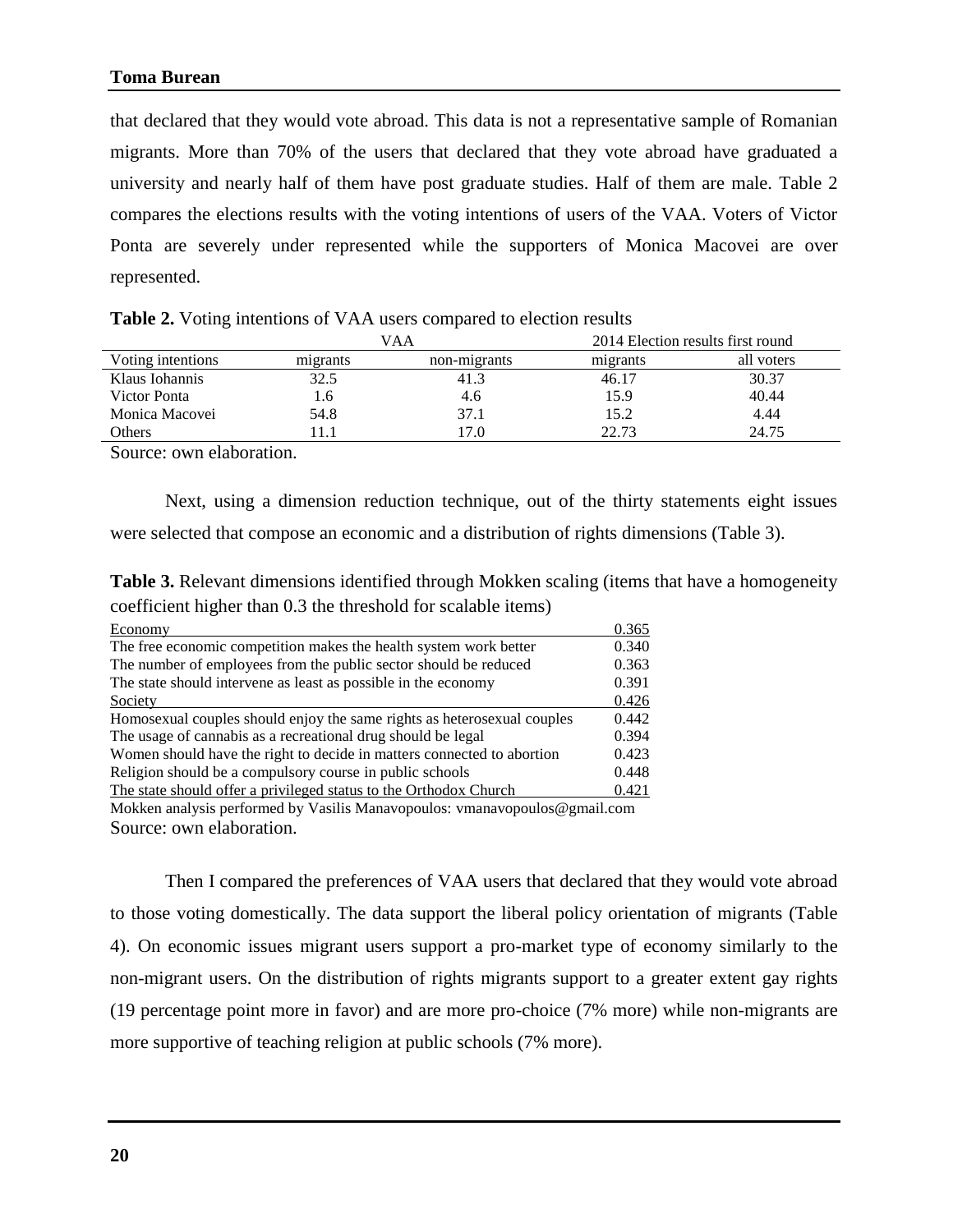that declared that they would vote abroad. This data is not a representative sample of Romanian migrants. More than 70% of the users that declared that they vote abroad have graduated a university and nearly half of them have post graduate studies. Half of them are male. Table 2 compares the elections results with the voting intentions of users of the VAA. Voters of Victor Ponta are severely under represented while the supporters of Monica Macovei are over represented.

|                   |          | VAA          |          | 2014 Election results first round |
|-------------------|----------|--------------|----------|-----------------------------------|
| Voting intentions | migrants | non-migrants | migrants | all voters                        |
| Klaus Iohannis    | 32.5     | 41.3         | 46.17    | 30.37                             |
| Victor Ponta      | 1.6      | 4.6          | 15.9     | 40.44                             |
| Monica Macovei    | 54.8     | 37.1         | 15.2     | 4.44                              |
| Others            |          | 17.0         | 22.73    | 24.75                             |
| .                 |          |              |          |                                   |

|  |  |  |  | Table 2. Voting intentions of VAA users compared to election results |
|--|--|--|--|----------------------------------------------------------------------|
|--|--|--|--|----------------------------------------------------------------------|

Source: own elaboration.

Next, using a dimension reduction technique, out of the thirty statements eight issues were selected that compose an economic and a distribution of rights dimensions (Table 3).

**Table 3.** Relevant dimensions identified through Mokken scaling (items that have a homogeneity coefficient higher than 0.3 the threshold for scalable items)

| Economy                                                                 | 0.365 |
|-------------------------------------------------------------------------|-------|
| The free economic competition makes the health system work better       | 0.340 |
| The number of employees from the public sector should be reduced        | 0.363 |
| The state should intervene as least as possible in the economy          | 0.391 |
| Society                                                                 | 0.426 |
| Homosexual couples should enjoy the same rights as heterosexual couples | 0.442 |
| The usage of cannabis as a recreational drug should be legal            | 0.394 |
| Women should have the right to decide in matters connected to abortion  | 0.423 |
| Religion should be a compulsory course in public schools                | 0.448 |
| The state should offer a privileged status to the Orthodox Church       | 0.421 |

Mokken analysis performed by Vasilis Manavopoulos: vmanavopoulos@gmail.com Source: own elaboration.

Then I compared the preferences of VAA users that declared that they would vote abroad to those voting domestically. The data support the liberal policy orientation of migrants (Table 4). On economic issues migrant users support a pro-market type of economy similarly to the non-migrant users. On the distribution of rights migrants support to a greater extent gay rights (19 percentage point more in favor) and are more pro-choice (7% more) while non-migrants are more supportive of teaching religion at public schools (7% more).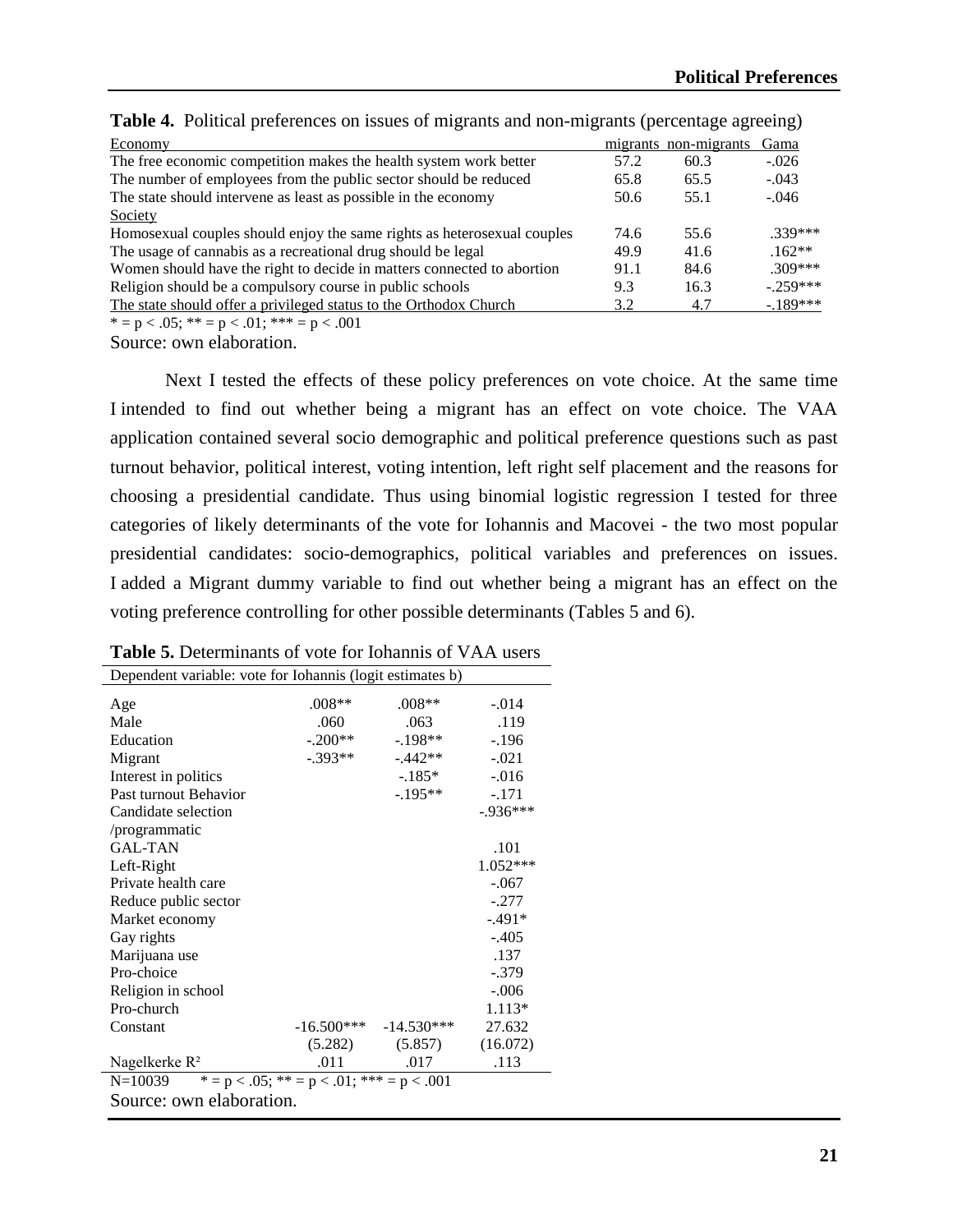| Economy                                                                 |      | migrants non-migrants | Gama       |
|-------------------------------------------------------------------------|------|-----------------------|------------|
| The free economic competition makes the health system work better       | 57.2 | 60.3                  | $-.026$    |
| The number of employees from the public sector should be reduced        | 65.8 | 65.5                  | $-.043$    |
| The state should intervene as least as possible in the economy          | 50.6 | 55.1                  | $-.046$    |
| Society                                                                 |      |                       |            |
| Homosexual couples should enjoy the same rights as heterosexual couples | 74.6 | 55.6                  | $.339***$  |
| The usage of cannabis as a recreational drug should be legal            | 49.9 | 41.6                  | $.162**$   |
| Women should have the right to decide in matters connected to abortion  | 91.1 | 84.6                  | $309***$   |
| Religion should be a compulsory course in public schools                | 9.3  | 16.3                  | $-259***$  |
| The state should offer a privileged status to the Orthodox Church       | 3.2  | 4.7                   | $-.189***$ |
| $* = p < .05;$ $** = p < .01;$ $*** = p < .001$                         |      |                       |            |

**Table 4.** Political preferences on issues of migrants and non-migrants (percentage agreeing)

Source: own elaboration.

Next I tested the effects of these policy preferences on vote choice. At the same time I intended to find out whether being a migrant has an effect on vote choice. The VAA application contained several socio demographic and political preference questions such as past turnout behavior, political interest, voting intention, left right self placement and the reasons for choosing a presidential candidate. Thus using binomial logistic regression I tested for three categories of likely determinants of the vote for Iohannis and Macovei - the two most popular presidential candidates: socio-demographics, political variables and preferences on issues. I added a Migrant dummy variable to find out whether being a migrant has an effect on the voting preference controlling for other possible determinants (Tables 5 and 6).

| Dependent variable: vote for Iohannis (logit estimates b) |           |                           |            |  |  |  |  |
|-----------------------------------------------------------|-----------|---------------------------|------------|--|--|--|--|
| Age                                                       | $.008**$  | $.008**$                  | $-.014$    |  |  |  |  |
| Male                                                      | .060      | .063                      | .119       |  |  |  |  |
| Education                                                 | $-.200**$ | $-.198**$                 | $-.196$    |  |  |  |  |
| Migrant                                                   | $-.393**$ | $-0.442**$                | $-.021$    |  |  |  |  |
| Interest in politics                                      |           | $-185*$                   | $-.016$    |  |  |  |  |
| Past turnout Behavior                                     |           | $-195**$                  | $-.171$    |  |  |  |  |
| Candidate selection                                       |           |                           | $-.936***$ |  |  |  |  |
| /programmatic                                             |           |                           |            |  |  |  |  |
| <b>GAL-TAN</b>                                            |           |                           | .101       |  |  |  |  |
| Left-Right                                                |           |                           | $1.052***$ |  |  |  |  |
| Private health care                                       |           |                           | $-.067$    |  |  |  |  |
| Reduce public sector                                      |           |                           | $-.277$    |  |  |  |  |
| Market economy                                            |           |                           | $-.491*$   |  |  |  |  |
| Gay rights                                                |           |                           | $-.405$    |  |  |  |  |
| Marijuana use                                             |           |                           | .137       |  |  |  |  |
| Pro-choice                                                |           |                           | $-.379$    |  |  |  |  |
| Religion in school                                        |           |                           | $-.006$    |  |  |  |  |
| Pro-church                                                |           |                           | 1.113*     |  |  |  |  |
| Constant                                                  |           | $-16.500***$ $-14.530***$ | 27.632     |  |  |  |  |
|                                                           | (5.282)   | (5.857)                   | (16.072)   |  |  |  |  |
| Nagelkerke R <sup>2</sup>                                 | .011      | .017                      | .113       |  |  |  |  |
| $* = p < .05;$ ** = p < .01; *** = p < .001<br>$N=10039$  |           |                           |            |  |  |  |  |
| Source: own elaboration.                                  |           |                           |            |  |  |  |  |

**Table 5.** Determinants of vote for Iohannis of VAA users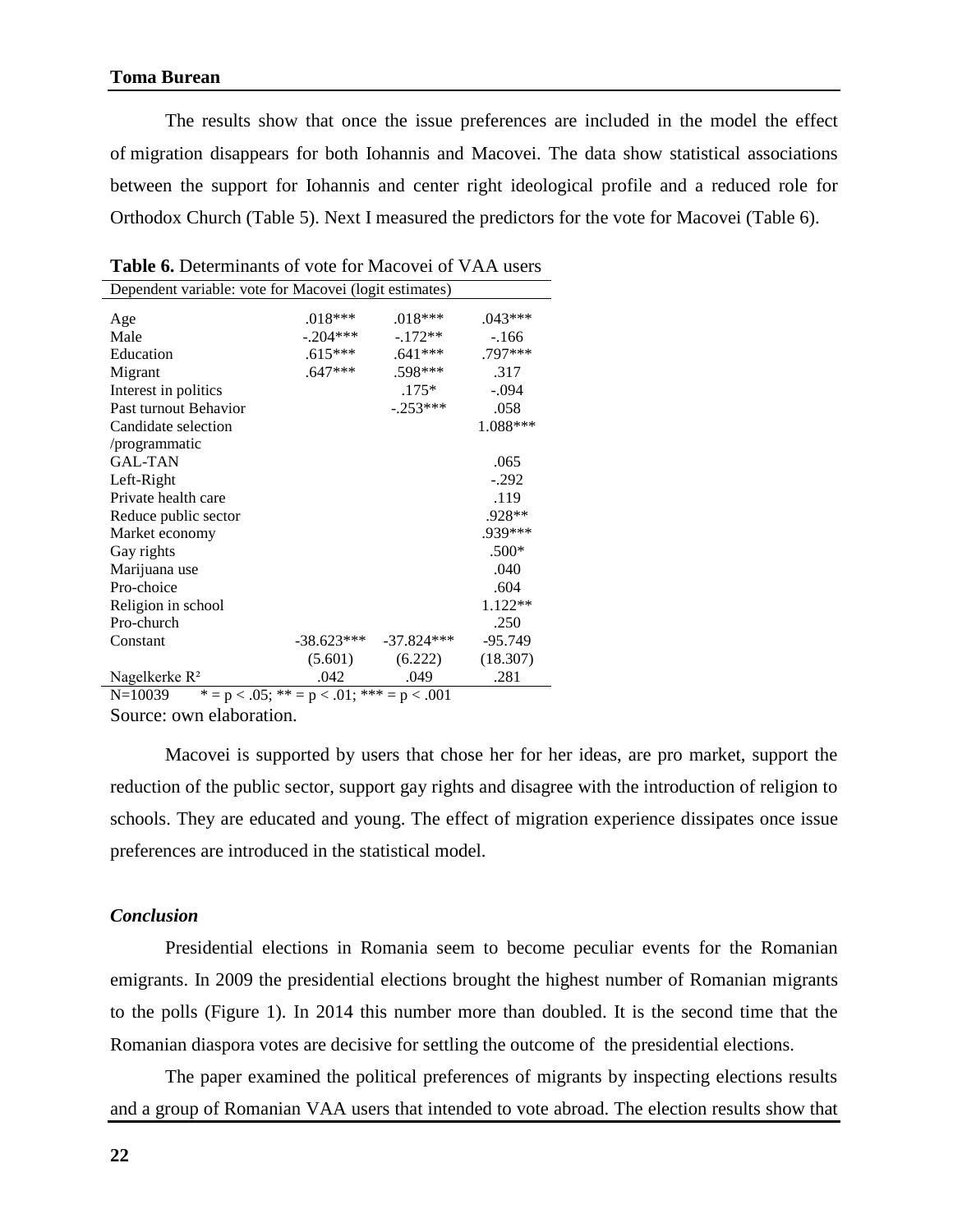The results show that once the issue preferences are included in the model the effect of migration disappears for both Iohannis and Macovei. The data show statistical associations between the support for Iohannis and center right ideological profile and a reduced role for Orthodox Church (Table 5). Next I measured the predictors for the vote for Macovei (Table 6).

| Dependent variable: vote for Macovei (logit estimates) |              |              |           |  |  |  |  |
|--------------------------------------------------------|--------------|--------------|-----------|--|--|--|--|
| Age                                                    | $.018***$    | $.018***$    | $.043***$ |  |  |  |  |
| Male                                                   | $-.204***$   | $-.172**$    | $-166$    |  |  |  |  |
| Education                                              | $.615***$    | $.641***$    | .797***   |  |  |  |  |
| Migrant                                                | $.647***$    | .598***      | .317      |  |  |  |  |
| Interest in politics                                   |              | $.175*$      | $-.094$   |  |  |  |  |
| Past turnout Behavior                                  |              | $-.253***$   | .058      |  |  |  |  |
| Candidate selection                                    |              |              | 1.088***  |  |  |  |  |
| /programmatic                                          |              |              |           |  |  |  |  |
| <b>GAL-TAN</b>                                         |              |              | .065      |  |  |  |  |
| Left-Right                                             |              |              | $-.292$   |  |  |  |  |
| Private health care                                    |              |              | .119      |  |  |  |  |
| Reduce public sector                                   |              |              | .928**    |  |  |  |  |
| Market economy                                         |              |              | .939***   |  |  |  |  |
| Gay rights                                             |              |              | $.500*$   |  |  |  |  |
| Marijuana use                                          |              |              | .040      |  |  |  |  |
| Pro-choice                                             |              |              | .604      |  |  |  |  |
| Religion in school                                     |              |              | $1.122**$ |  |  |  |  |
| Pro-church                                             |              |              | .250      |  |  |  |  |
| Constant                                               | $-38.623***$ | $-37.824***$ | $-95.749$ |  |  |  |  |
|                                                        | (5.601)      | (6.222)      | (18.307)  |  |  |  |  |
| Nagelkerke R <sup>2</sup>                              | .042         | .049         | .281      |  |  |  |  |

| <b>Table 6.</b> Determinants of vote for Macovei of VAA users |
|---------------------------------------------------------------|
|---------------------------------------------------------------|

N=10039  $* = p < .05$ ;  $** = p < .01$ ;  $*** = p < .001$ 

Source: own elaboration.

Macovei is supported by users that chose her for her ideas, are pro market, support the reduction of the public sector, support gay rights and disagree with the introduction of religion to schools. They are educated and young. The effect of migration experience dissipates once issue preferences are introduced in the statistical model.

## *Conclusion*

Presidential elections in Romania seem to become peculiar events for the Romanian emigrants. In 2009 the presidential elections brought the highest number of Romanian migrants to the polls (Figure 1). In 2014 this number more than doubled. It is the second time that the Romanian diaspora votes are decisive for settling the outcome of the presidential elections.

The paper examined the political preferences of migrants by inspecting elections results and a group of Romanian VAA users that intended to vote abroad. The election results show that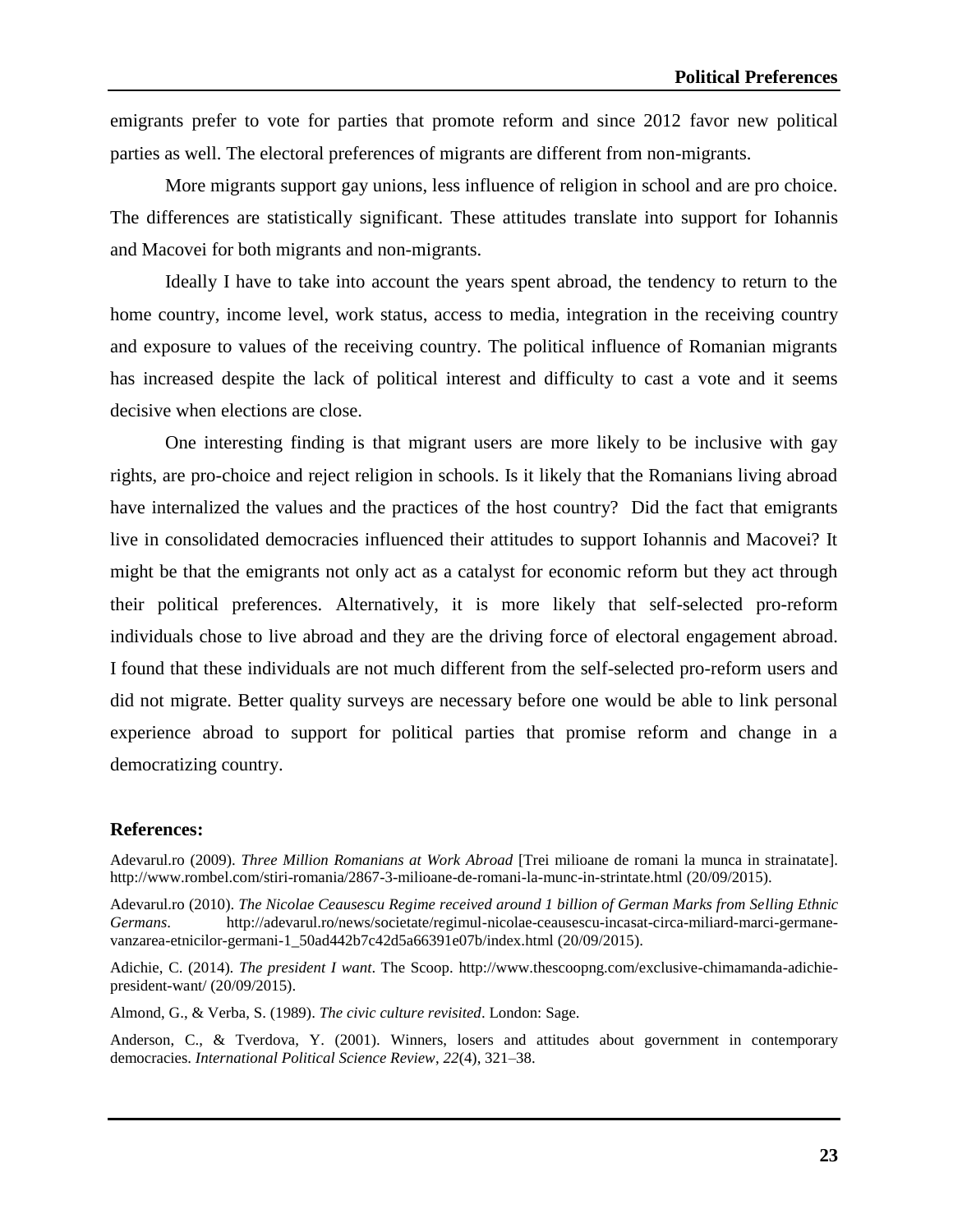emigrants prefer to vote for parties that promote reform and since 2012 favor new political parties as well. The electoral preferences of migrants are different from non-migrants.

More migrants support gay unions, less influence of religion in school and are pro choice. The differences are statistically significant. These attitudes translate into support for Iohannis and Macovei for both migrants and non-migrants.

Ideally I have to take into account the years spent abroad, the tendency to return to the home country, income level, work status, access to media, integration in the receiving country and exposure to values of the receiving country. The political influence of Romanian migrants has increased despite the lack of political interest and difficulty to cast a vote and it seems decisive when elections are close.

One interesting finding is that migrant users are more likely to be inclusive with gay rights, are pro-choice and reject religion in schools. Is it likely that the Romanians living abroad have internalized the values and the practices of the host country? Did the fact that emigrants live in consolidated democracies influenced their attitudes to support Iohannis and Macovei? It might be that the emigrants not only act as a catalyst for economic reform but they act through their political preferences. Alternatively, it is more likely that self-selected pro-reform individuals chose to live abroad and they are the driving force of electoral engagement abroad. I found that these individuals are not much different from the self-selected pro-reform users and did not migrate. Better quality surveys are necessary before one would be able to link personal experience abroad to support for political parties that promise reform and change in a democratizing country.

#### **References:**

Adevarul.ro (2009). *Three Million Romanians at Work Abroad* [Trei milioane de romani la munca in strainatate]. <http://www.rombel.com/stiri-romania/2867-3-milioane-de-romani-la-munc-in-strintate.html> (20/09/2015).

Adevarul.ro (2010). *The Nicolae Ceausescu Regime received around 1 billion of German Marks from Selling Ethnic Germans*. [http://adevarul.ro/news/societate/regimul-nicolae-ceausescu-incasat-circa-miliard-marci-germane](http://adevarul.ro/news/societate/regimul-nicolae-ceausescu-incasat-circa-miliard-marci-germane-vanzarea-etnicilor-germani-1_50ad442b7c42d5a66391e07b/index.html)[vanzarea-etnicilor-germani-1\\_50ad442b7c42d5a66391e07b/index.html](http://adevarul.ro/news/societate/regimul-nicolae-ceausescu-incasat-circa-miliard-marci-germane-vanzarea-etnicilor-germani-1_50ad442b7c42d5a66391e07b/index.html) (20/09/2015).

Adichie, C. (2014). *The president I want*. The Scoop. [http://www.thescoopng.com/exclusive-chimamanda-adichie](http://www.thescoopng.com/exclusive-chimamanda-adichie-president-want/)[president-want/](http://www.thescoopng.com/exclusive-chimamanda-adichie-president-want/) (20/09/2015).

Almond, G., & Verba, S. (1989). *The civic culture revisited*. London: Sage.

Anderson, C., & Tverdova, Y. (2001). Winners, losers and attitudes about government in contemporary democracies. *International Political Science Review*, *22*(4), 321–38.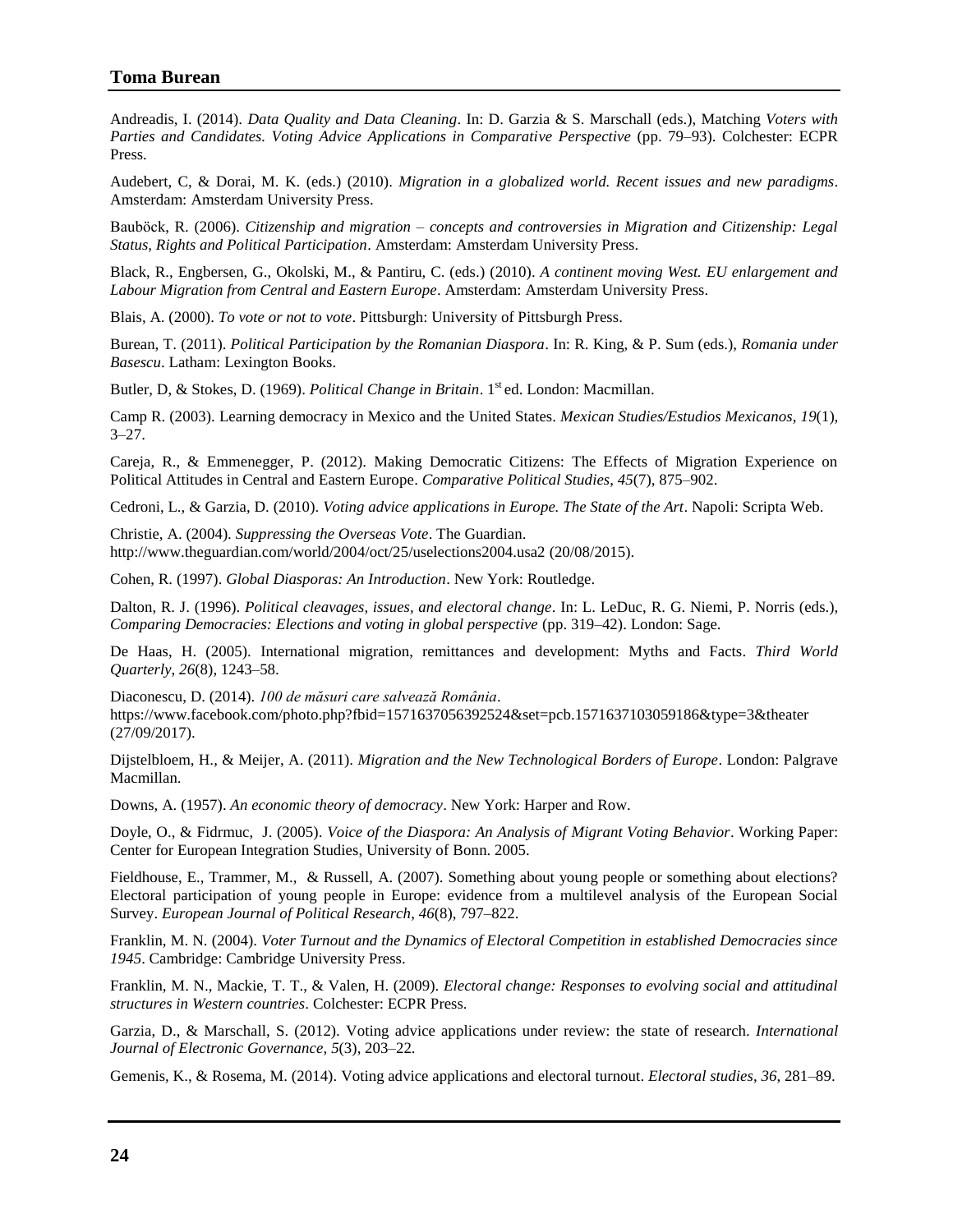#### **Toma Burean**

Andreadis, I. (2014). *Data Quality and Data Cleaning*. In: D. Garzia & S. Marschall (eds.), Matching *Voters with Parties and Candidates. Voting Advice Applications in Comparative Perspective* (pp. 79–93). Colchester: ECPR Press.

Audebert, C, & Dorai, M. K. (eds.) (2010). *Migration in a globalized world. Recent issues and new paradigms*. Amsterdam: Amsterdam University Press.

Bauböck, R. (2006). *Citizenship and migration – concepts and controversies in Migration and Citizenship: Legal Status, Rights and Political Participation*. Amsterdam: Amsterdam University Press.

Black, R., Engbersen, G., Okolski, M., & Pantiru, C. (eds.) (2010). *A continent moving West. EU enlargement and Labour Migration from Central and Eastern Europe*. Amsterdam: Amsterdam University Press.

Blais, A. (2000). *To vote or not to vote*. Pittsburgh: University of Pittsburgh Press.

Burean, T. (2011). *Political Participation by the Romanian Diaspora*. In: R. King, & P. Sum (eds.), *Romania under Basescu*. Latham: Lexington Books.

Butler, D, & Stokes, D. (1969). *Political Change in Britain*. 1<sup>st</sup> ed. London: Macmillan.

Camp R. (2003). Learning democracy in Mexico and the United States. *Mexican Studies/Estudios Mexicanos*, *19*(1),  $3 - 27$ .

Careja, R., & Emmenegger, P. (2012). Making Democratic Citizens: The Effects of Migration Experience on Political Attitudes in Central and Eastern Europe. *Comparative Political Studies*, *45*(7), 875–902.

Cedroni, L., & Garzia, D. (2010). *Voting advice applications in Europe. The State of the Art*. Napoli: Scripta Web.

Christie, A. (2004). *Suppressing the Overseas Vote*. The Guardian. <http://www.theguardian.com/world/2004/oct/25/uselections2004.usa2> (20/08/2015).

Cohen, R. (1997). *Global Diasporas: An Introduction*. New York: Routledge.

Dalton, R. J. (1996). *Political cleavages, issues, and electoral change*. In: L. LeDuc, R. G. Niemi, P. Norris (eds.), *Comparing Democracies: Elections and voting in global perspective* (pp. 319–42). London: Sage.

De Haas, H. (2005). International migration, remittances and development: Myths and Facts. *Third World Quarterly*, *26*(8), 1243–58.

Diaconescu, D. (2014). *100 de măsuri care salvează România*. <https://www.facebook.com/photo.php?fbid=1571637056392524&set=pcb.1571637103059186&type=3&theater> (27/09/2017).

Dijstelbloem, H., & Meijer, A. (2011). *Migration and the New Technological Borders of Europe*. London: Palgrave Macmillan.

Downs, A. (1957). *An economic theory of democracy*. New York: Harper and Row.

Doyle, O., & Fidrmuc, J. (2005). *Voice of the Diaspora: An Analysis of Migrant Voting Behavior*. Working Paper: Center for European Integration Studies, University of Bonn. 2005.

Fieldhouse, E., Trammer, M., & Russell, A. (2007). Something about young people or something about elections? Electoral participation of young people in Europe: evidence from a multilevel analysis of the European Social Survey. *European Journal of Political Research*, *46*(8), 797–822.

Franklin, M. N. (2004). *Voter Turnout and the Dynamics of Electoral Competition in established Democracies since 1945*. Cambridge: Cambridge University Press.

Franklin, M. N., Mackie, T. T., & Valen, H. (2009). *Electoral change: Responses to evolving social and attitudinal structures in Western countries*. Colchester: ECPR Press.

Garzia, D., & Marschall, S. (2012). Voting advice applications under review: the state of research. *International Journal of Electronic Governance*, *5*(3), 203–22.

Gemenis, K., & Rosema, M. (2014). Voting advice applications and electoral turnout. *Electoral studies*, *36*, 281–89.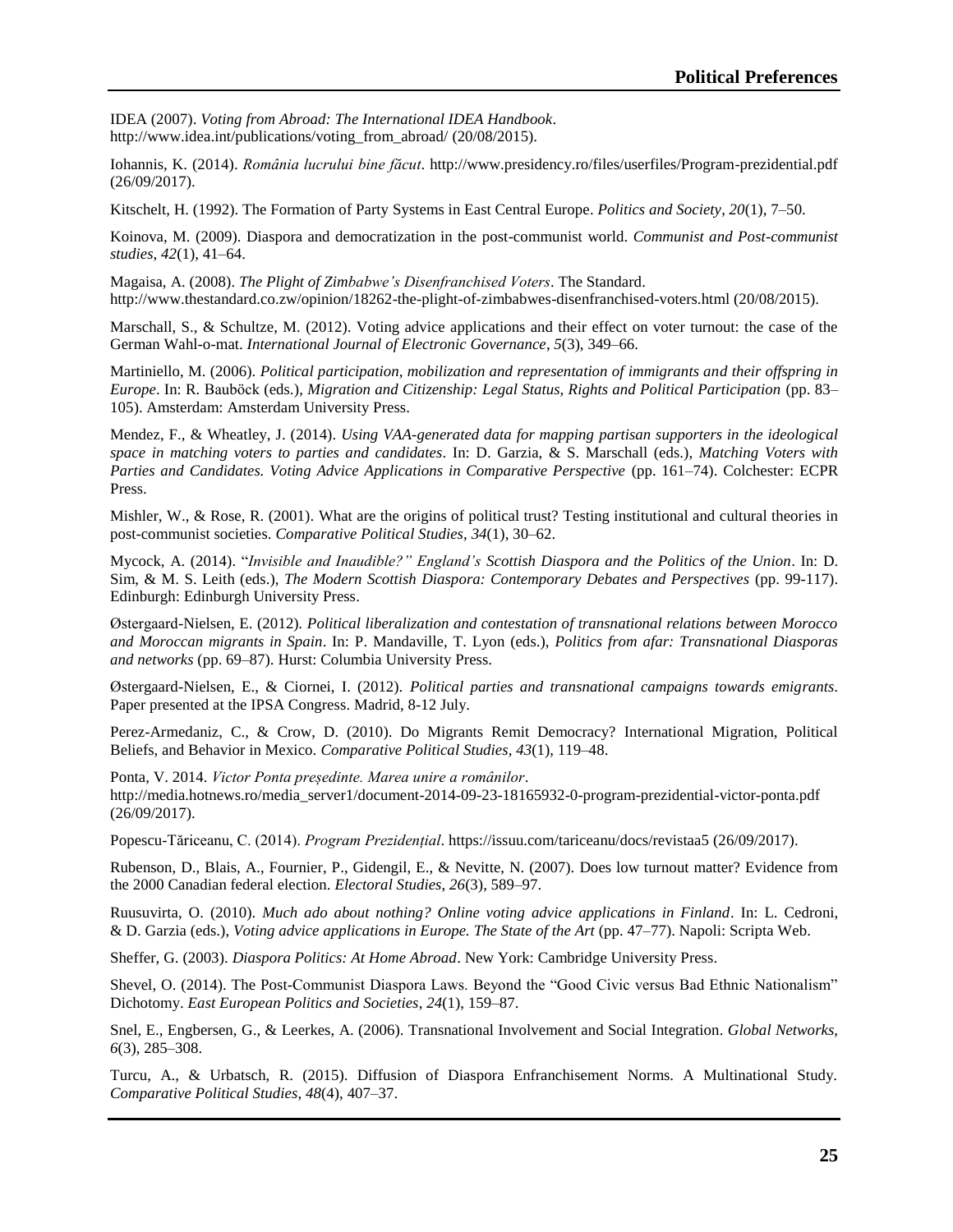IDEA (2007). *Voting from Abroad: The International IDEA Handbook*. [http://www.idea.int/publications/voting\\_from\\_abroad/](http://www.idea.int/publications/voting_from_abroad/) (20/08/2015).

Iohannis, K. (2014). *România lucrului bine făcut*.<http://www.presidency.ro/files/userfiles/Program-prezidential.pdf> (26/09/2017).

Kitschelt, H. (1992). The Formation of Party Systems in East Central Europe. *Politics and Society*, *20*(1), 7–50.

Koinova, M. (2009). Diaspora and democratization in the post-communist world. *Communist and Post-communist studies*, *42*(1), 41–64.

Magaisa, A. (2008). *The Plight of Zimbabwe's Disenfranchised Voters*. The Standard. <http://www.thestandard.co.zw/opinion/18262-the-plight-of-zimbabwes-disenfranchised-voters.html> (20/08/2015).

Marschall, S., & Schultze, M. (2012). Voting advice applications and their effect on voter turnout: the case of the German Wahl-o-mat. *International Journal of Electronic Governance*, *5*(3), 349–66.

Martiniello, M. (2006). *Political participation, mobilization and representation of immigrants and their offspring in Europe*. In: R. Bauböck (eds.), *Migration and Citizenship: Legal Status, Rights and Political Participation* (pp. 83– 105). Amsterdam: Amsterdam University Press.

Mendez, F., & Wheatley, J. (2014). *Using VAA-generated data for mapping partisan supporters in the ideological space in matching voters to parties and candidates*. In: D. Garzia, & S. Marschall (eds.), *Matching Voters with Parties and Candidates. Voting Advice Applications in Comparative Perspective* (pp. 161–74). Colchester: ECPR Press.

Mishler, W., & Rose, R. (2001). What are the origins of political trust? Testing institutional and cultural theories in post-communist societies. *Comparative Political Studies*, *34*(1), 30–62.

Mycock, A. (2014). "*Invisible and Inaudible?" England's Scottish Diaspora and the Politics of the Union*. In: D. Sim, & M. S. Leith (eds.), *The Modern Scottish Diaspora: Contemporary Debates and Perspectives* (pp. 99-117). Edinburgh: Edinburgh University Press.

Østergaard-Nielsen, E. (2012). *Political liberalization and contestation of transnational relations between Morocco and Moroccan migrants in Spain*. In: P. Mandaville, T. Lyon (eds.), *Politics from afar: Transnational Diasporas and networks* (pp. 69–87). Hurst: Columbia University Press.

Østergaard-Nielsen, E., & Ciornei, I. (2012). *Political parties and transnational campaigns towards emigrants*. Paper presented at the IPSA Congress. Madrid, 8-12 July.

Perez-Armedaniz, C., & Crow, D. (2010). Do Migrants Remit Democracy? International Migration, Political Beliefs, and Behavior in Mexico. *Comparative Political Studies*, *43*(1), 119–48.

Ponta, V. 2014. *Victor Ponta președinte. Marea unire a românilor*.

[http://media.hotnews.ro/media\\_server1/document-2014-09-23-18165932-0-program-prezidential-victor-ponta.pdf](http://media.hotnews.ro/media_server1/document-2014-09-23-18165932-0-program-prezidential-victor-ponta.pdf) (26/09/2017).

Popescu-Tăriceanu, C. (2014). *Program Prezidențial*.<https://issuu.com/tariceanu/docs/revistaa5> (26/09/2017).

Rubenson, D., Blais, A., Fournier, P., Gidengil, E., & Nevitte, N. (2007). Does low turnout matter? Evidence from the 2000 Canadian federal election. *Electoral Studies*, *26*(3), 589–97.

Ruusuvirta, O. (2010). *Much ado about nothing? Online voting advice applications in Finland*. In: L. Cedroni, & D. Garzia (eds.), *Voting advice applications in Europe. The State of the Art* (pp. 47–77). Napoli: Scripta Web.

Sheffer, G. (2003). *Diaspora Politics: At Home Abroad*. New York: Cambridge University Press.

Shevel, O. (2014). The Post-Communist Diaspora Laws. Beyond the "Good Civic versus Bad Ethnic Nationalism" Dichotomy. *East European Politics and Societies*, *24*(1), 159–87.

Snel, E., Engbersen, G., & Leerkes, A. (2006). Transnational Involvement and Social Integration. *Global Networks*, *6*(3), 285–308.

Turcu, A., & Urbatsch, R. (2015). Diffusion of Diaspora Enfranchisement Norms. A Multinational Study. *Comparative Political Studies*, *48*(4), 407–37.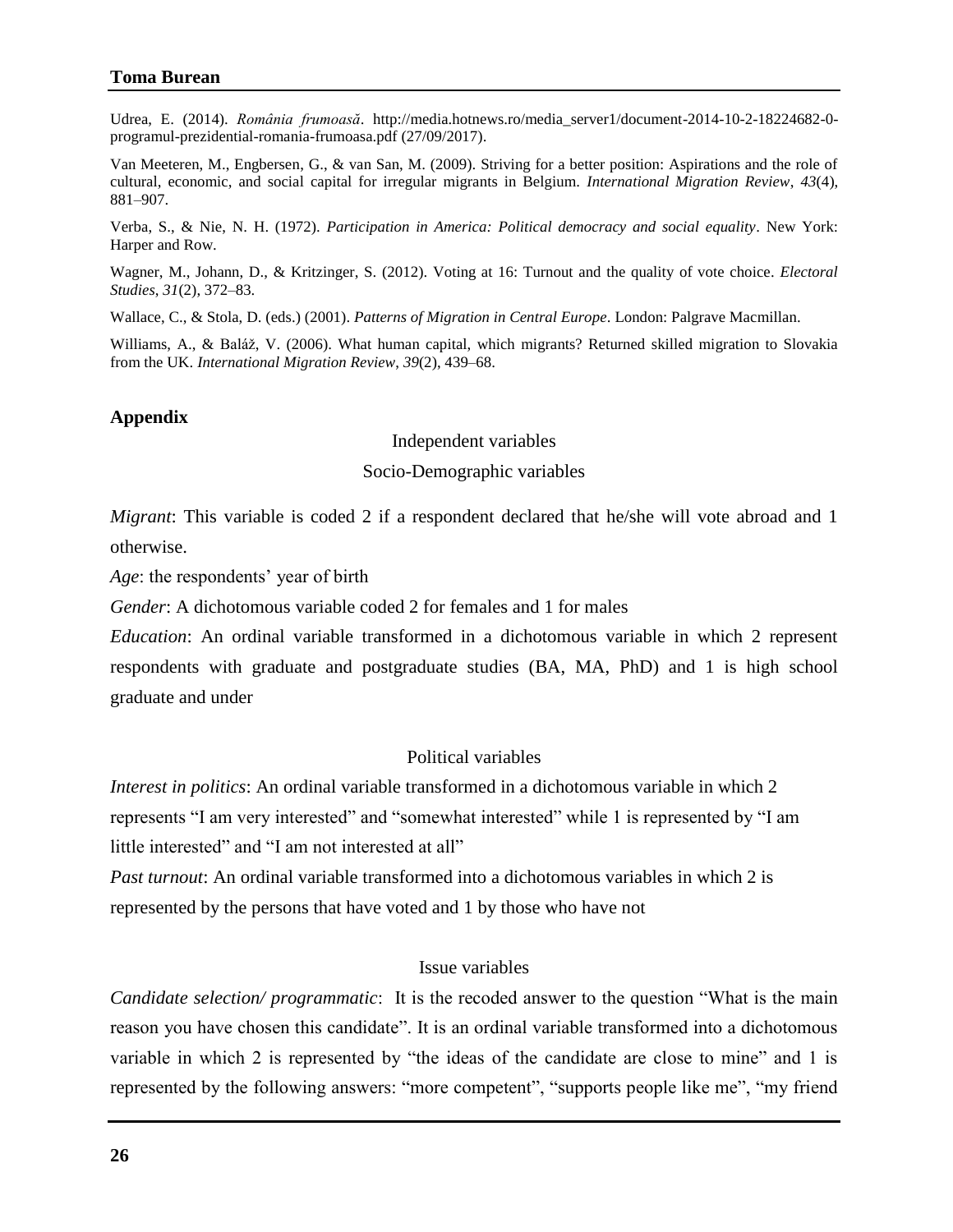## **Toma Burean**

Udrea, E. (2014). *România frumoasă*. [http://media.hotnews.ro/media\\_server1/document-2014-10-2-18224682-0](http://media.hotnews.ro/media_server1/document-2014-10-2-18224682-0-programul-prezidential-romania-frumoasa.pdf) [programul-prezidential-romania-frumoasa.pdf](http://media.hotnews.ro/media_server1/document-2014-10-2-18224682-0-programul-prezidential-romania-frumoasa.pdf) (27/09/2017).

Van Meeteren, M., Engbersen, G., & van San, M. (2009). Striving for a better position: Aspirations and the role of cultural, economic, and social capital for irregular migrants in Belgium. *International Migration Review*, *43*(4), 881–907.

Verba, S., & Nie, N. H. (1972). *Participation in America: Political democracy and social equality*. New York: Harper and Row.

Wagner, M., Johann, D., & Kritzinger, S. (2012). Voting at 16: Turnout and the quality of vote choice. *Electoral Studies*, *31*(2), 372–83.

Wallace, C., & Stola, D. (eds.) (2001). *Patterns of Migration in Central Europe*. London: Palgrave Macmillan.

Williams, A., & Baláž, V. (2006). What human capital, which migrants? Returned skilled migration to Slovakia from the UK. *International Migration Review*, *39*(2), 439–68.

#### **Appendix**

Independent variables

#### Socio-Demographic variables

*Migrant*: This variable is coded 2 if a respondent declared that he/she will vote abroad and 1 otherwise.

*Age*: the respondents' year of birth

*Gender*: A dichotomous variable coded 2 for females and 1 for males

*Education*: An ordinal variable transformed in a dichotomous variable in which 2 represent respondents with graduate and postgraduate studies (BA, MA, PhD) and 1 is high school graduate and under

## Political variables

*Interest in politics*: An ordinal variable transformed in a dichotomous variable in which 2 represents "I am very interested" and "somewhat interested" while 1 is represented by "I am little interested" and "I am not interested at all"

*Past turnout*: An ordinal variable transformed into a dichotomous variables in which 2 is represented by the persons that have voted and 1 by those who have not

## Issue variables

*Candidate selection/ programmatic*: It is the recoded answer to the question "What is the main reason you have chosen this candidate". It is an ordinal variable transformed into a dichotomous variable in which 2 is represented by "the ideas of the candidate are close to mine" and 1 is represented by the following answers: "more competent", "supports people like me", "my friend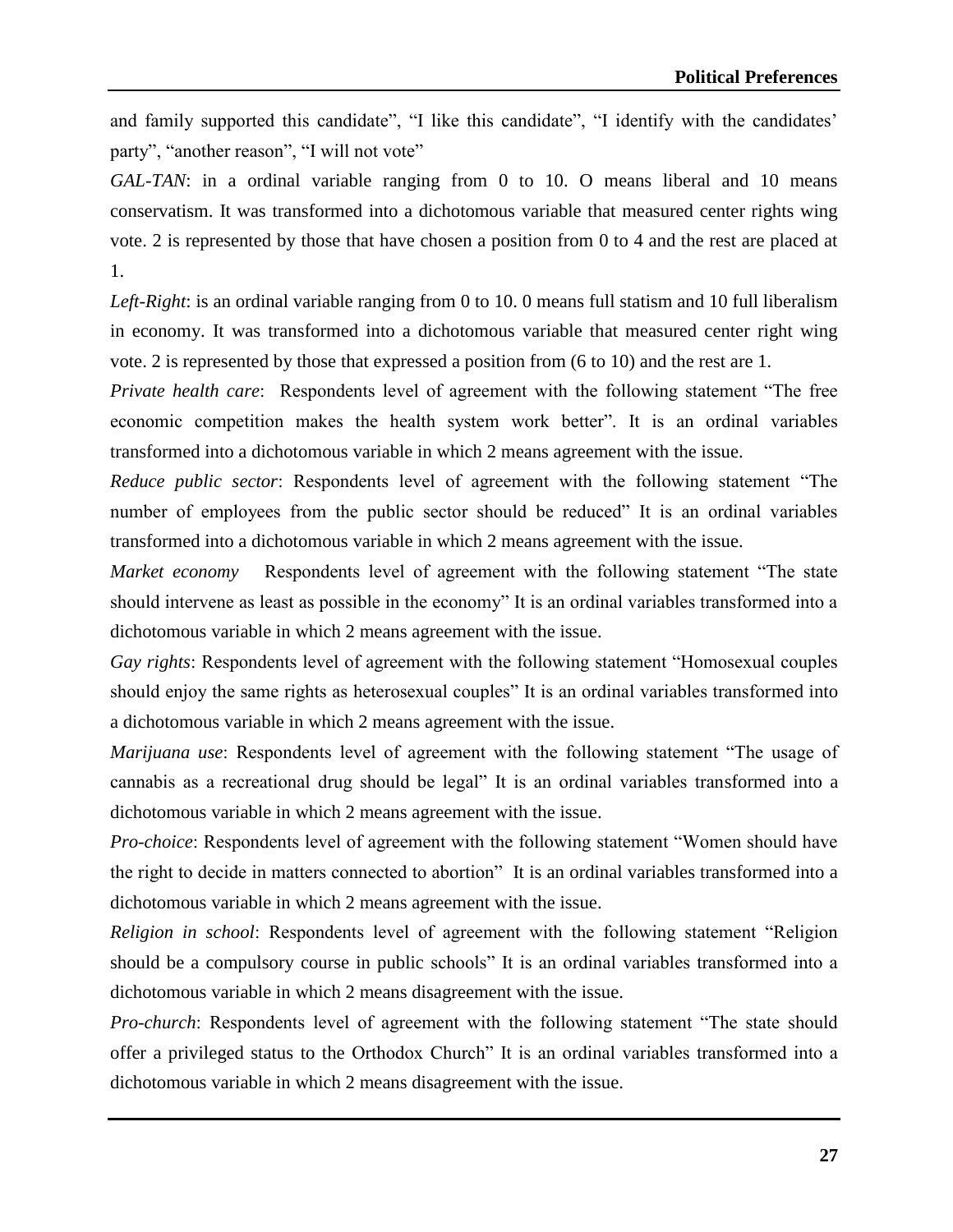and family supported this candidate", "I like this candidate", "I identify with the candidates' party", "another reason", "I will not vote"

*GAL-TAN*: in a ordinal variable ranging from 0 to 10. O means liberal and 10 means conservatism. It was transformed into a dichotomous variable that measured center rights wing vote. 2 is represented by those that have chosen a position from 0 to 4 and the rest are placed at 1.

*Left-Right*: is an ordinal variable ranging from 0 to 10. 0 means full statism and 10 full liberalism in economy. It was transformed into a dichotomous variable that measured center right wing vote. 2 is represented by those that expressed a position from (6 to 10) and the rest are 1.

*Private health care*: Respondents level of agreement with the following statement "The free economic competition makes the health system work better". It is an ordinal variables transformed into a dichotomous variable in which 2 means agreement with the issue.

*Reduce public sector*: Respondents level of agreement with the following statement "The number of employees from the public sector should be reduced" It is an ordinal variables transformed into a dichotomous variable in which 2 means agreement with the issue.

*Market economy* Respondents level of agreement with the following statement "The state should intervene as least as possible in the economy" It is an ordinal variables transformed into a dichotomous variable in which 2 means agreement with the issue.

*Gay rights*: Respondents level of agreement with the following statement "Homosexual couples should enjoy the same rights as heterosexual couples" It is an ordinal variables transformed into a dichotomous variable in which 2 means agreement with the issue.

*Marijuana use*: Respondents level of agreement with the following statement "The usage of cannabis as a recreational drug should be legal" It is an ordinal variables transformed into a dichotomous variable in which 2 means agreement with the issue.

*Pro-choice*: Respondents level of agreement with the following statement "Women should have the right to decide in matters connected to abortion" It is an ordinal variables transformed into a dichotomous variable in which 2 means agreement with the issue.

*Religion in school*: Respondents level of agreement with the following statement "Religion should be a compulsory course in public schools" It is an ordinal variables transformed into a dichotomous variable in which 2 means disagreement with the issue.

*Pro-church*: Respondents level of agreement with the following statement "The state should offer a privileged status to the Orthodox Church" It is an ordinal variables transformed into a dichotomous variable in which 2 means disagreement with the issue.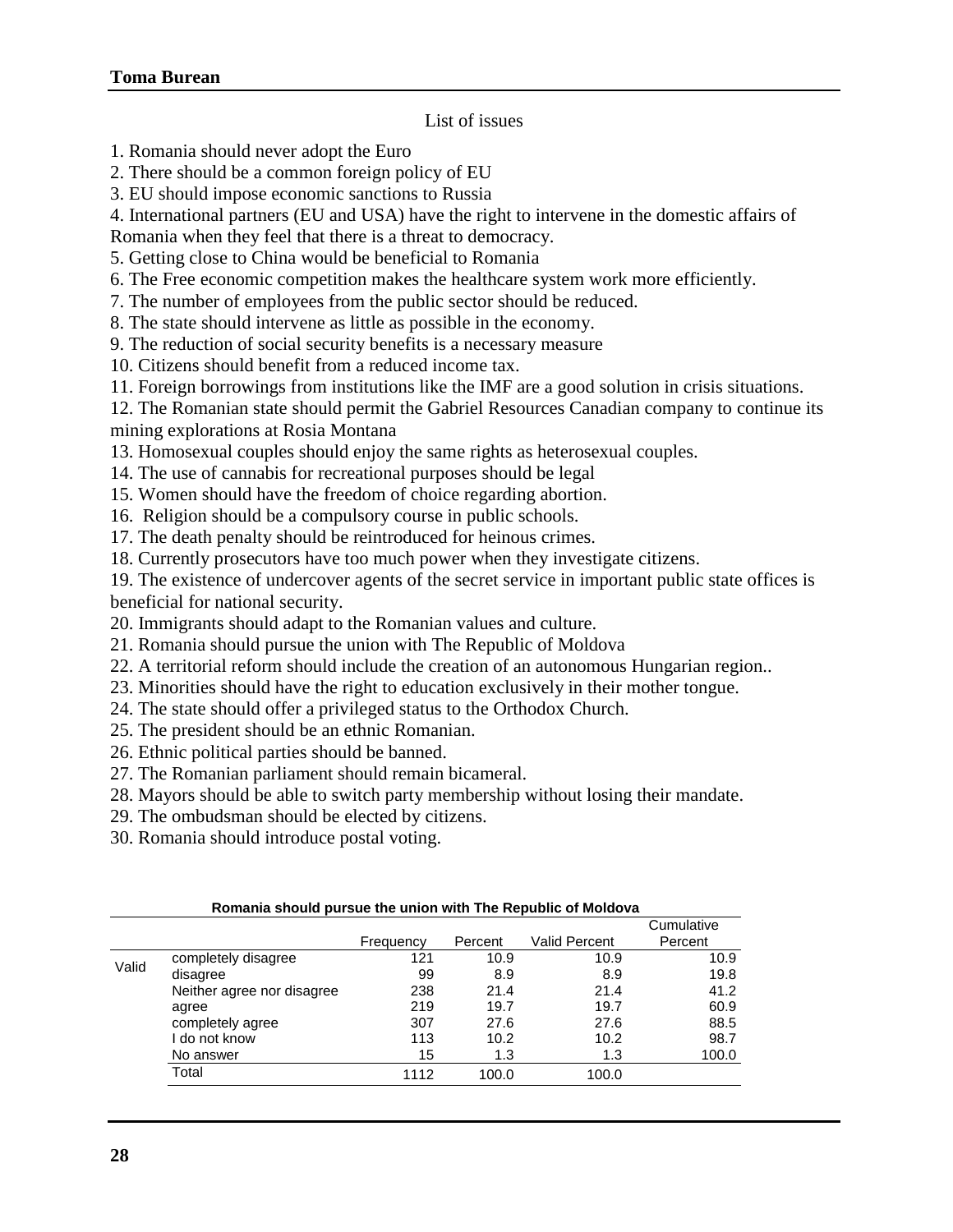## List of issues

- 1. Romania should never adopt the Euro
- 2. There should be a common foreign policy of EU
- 3. EU should impose economic sanctions to Russia
- 4. International partners (EU and USA) have the right to intervene in the domestic affairs of
- Romania when they feel that there is a threat to democracy.
- 5. Getting close to China would be beneficial to Romania
- 6. The Free economic competition makes the healthcare system work more efficiently.
- 7. The number of employees from the public sector should be reduced.
- 8. The state should intervene as little as possible in the economy.
- 9. The reduction of social security benefits is a necessary measure
- 10. Citizens should benefit from a reduced income tax.
- 11. Foreign borrowings from institutions like the IMF are a good solution in crisis situations.
- 12. The Romanian state should permit the Gabriel Resources Canadian company to continue its

mining explorations at Rosia Montana

- 13. Homosexual couples should enjoy the same rights as heterosexual couples.
- 14. The use of cannabis for recreational purposes should be legal
- 15. Women should have the freedom of choice regarding abortion.
- 16. Religion should be a compulsory course in public schools.
- 17. The death penalty should be reintroduced for heinous crimes.
- 18. Currently prosecutors have too much power when they investigate citizens.
- 19. The existence of undercover agents of the secret service in important public state offices is beneficial for national security.
- 20. Immigrants should adapt to the Romanian values and culture.
- 21. Romania should pursue the union with The Republic of Moldova
- 22. A territorial reform should include the creation of an autonomous Hungarian region..
- 23. Minorities should have the right to education exclusively in their mother tongue.
- 24. The state should offer a privileged status to the Orthodox Church.
- 25. The president should be an ethnic Romanian.
- 26. Ethnic political parties should be banned.
- 27. The Romanian parliament should remain bicameral.
- 28. Mayors should be able to switch party membership without losing their mandate.
- 29. The ombudsman should be elected by citizens.
- 30. Romania should introduce postal voting.

|       |                            |           |         |               | Cumulative |
|-------|----------------------------|-----------|---------|---------------|------------|
|       |                            | Frequency | Percent | Valid Percent | Percent    |
|       | completely disagree        | 121       | 10.9    | 10.9          | 10.9       |
| Valid | disagree                   | 99        | 8.9     | 8.9           | 19.8       |
|       | Neither agree nor disagree | 238       | 21.4    | 21.4          | 41.2       |
|       | agree                      | 219       | 19.7    | 19.7          | 60.9       |
|       | completely agree           | 307       | 27.6    | 27.6          | 88.5       |
|       | I do not know              | 113       | 10.2    | 10.2          | 98.7       |
|       | No answer                  | 15        | 1.3     | 1.3           | 100.0      |
|       | Total                      | 1112      | 100.0   | 100.0         |            |

**Romania should pursue the union with The Republic of Moldova**